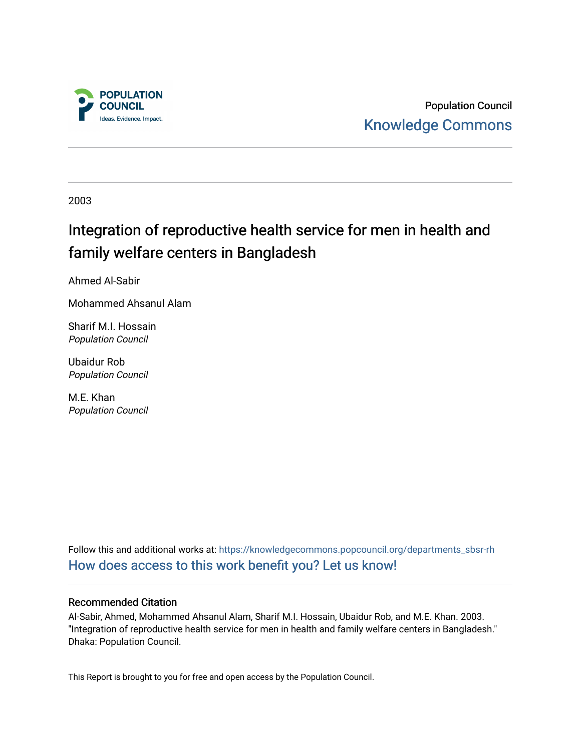

Population Council [Knowledge Commons](https://knowledgecommons.popcouncil.org/) 

2003

# Integration of reproductive health service for men in health and family welfare centers in Bangladesh

Ahmed Al-Sabir

Mohammed Ahsanul Alam

Sharif M.I. Hossain Population Council

Ubaidur Rob Population Council

M.E. Khan Population Council

Follow this and additional works at: [https://knowledgecommons.popcouncil.org/departments\\_sbsr-rh](https://knowledgecommons.popcouncil.org/departments_sbsr-rh?utm_source=knowledgecommons.popcouncil.org%2Fdepartments_sbsr-rh%2F1656&utm_medium=PDF&utm_campaign=PDFCoverPages)  [How does access to this work benefit you? Let us know!](https://pcouncil.wufoo.com/forms/open-access-to-population-council-research/)

## Recommended Citation

Al-Sabir, Ahmed, Mohammed Ahsanul Alam, Sharif M.I. Hossain, Ubaidur Rob, and M.E. Khan. 2003. "Integration of reproductive health service for men in health and family welfare centers in Bangladesh." Dhaka: Population Council.

This Report is brought to you for free and open access by the Population Council.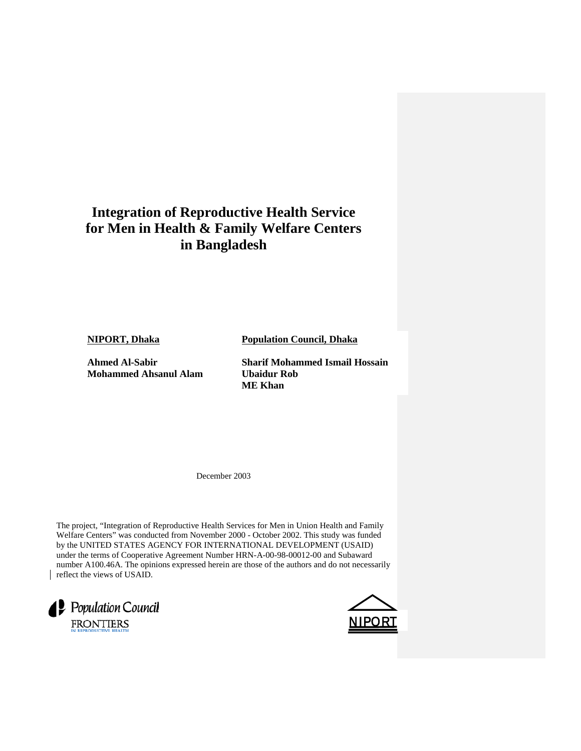## **Integration of Reproductive Health Service for Men in Health & Family Welfare Centers in Bangladesh**

**NIPORT, Dhaka**

**Ahmed Al-Sabir Mohammed Ahsanul Alam** **Population Council, Dhaka** 

**Sharif Mohammed Ismail Hossain Ubaidur Rob ME Khan**

December 2003

The project, "Integration of Reproductive Health Services for Men in Union Health and Family Welfare Centers" was conducted from November 2000 - October 2002. This study was funded by the UNITED STATES AGENCY FOR INTERNATIONAL DEVELOPMENT (USAID) under the terms of Cooperative Agreement Number HRN-A-00-98-00012-00 and Subaward number A100.46A. The opinions expressed herein are those of the authors and do not necessarily reflect the views of USAID.



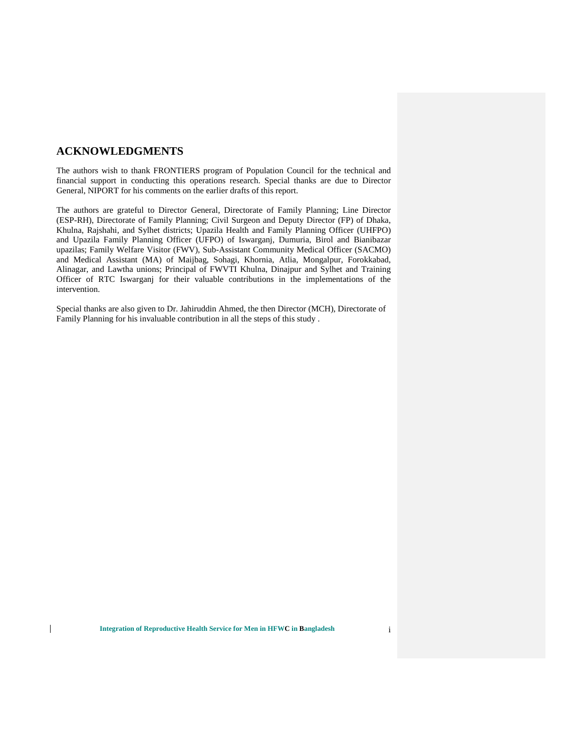## **ACKNOWLEDGMENTS**

 $\mathsf{I}$ 

The authors wish to thank FRONTIERS program of Population Council for the technical and financial support in conducting this operations research. Special thanks are due to Director General, NIPORT for his comments on the earlier drafts of this report.

The authors are grateful to Director General, Directorate of Family Planning; Line Director (ESP-RH), Directorate of Family Planning; Civil Surgeon and Deputy Director (FP) of Dhaka, Khulna, Rajshahi, and Sylhet districts; Upazila Health and Family Planning Officer (UHFPO) and Upazila Family Planning Officer (UFPO) of Iswarganj, Dumuria, Birol and Bianibazar upazilas; Family Welfare Visitor (FWV), Sub-Assistant Community Medical Officer (SACMO) and Medical Assistant (MA) of Maijbag, Sohagi, Khornia, Atlia, Mongalpur, Forokkabad, Alinagar, and Lawtha unions; Principal of FWVTI Khulna, Dinajpur and Sylhet and Training Officer of RTC Iswarganj for their valuable contributions in the implementations of the intervention.

Special thanks are also given to Dr. Jahiruddin Ahmed, the then Director (MCH), Directorate of Family Planning for his invaluable contribution in all the steps of this study .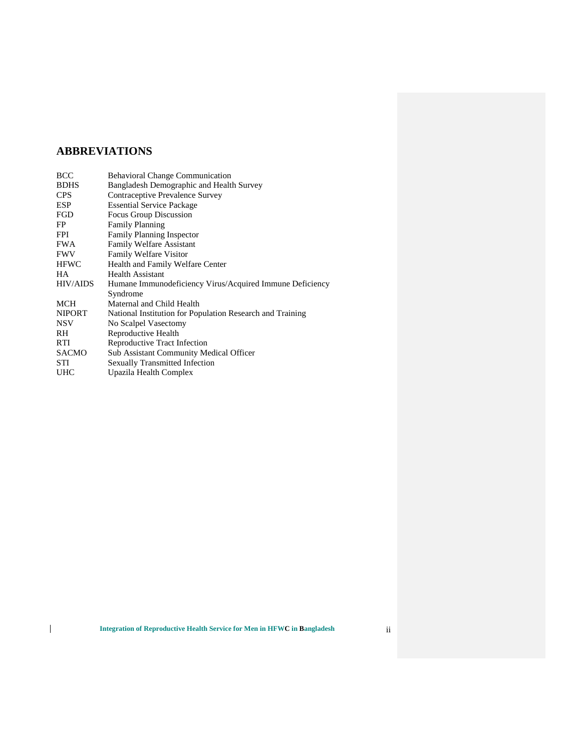## **ABBREVIATIONS**

| BCC           | <b>Behavioral Change Communication</b>                    |
|---------------|-----------------------------------------------------------|
| <b>BDHS</b>   | Bangladesh Demographic and Health Survey                  |
| <b>CPS</b>    | Contraceptive Prevalence Survey                           |
| <b>ESP</b>    | <b>Essential Service Package</b>                          |
| FGD           | Focus Group Discussion                                    |
| FP            | <b>Family Planning</b>                                    |
| FPI           | <b>Family Planning Inspector</b>                          |
| <b>FWA</b>    | <b>Family Welfare Assistant</b>                           |
| FWV           | Family Welfare Visitor                                    |
| <b>HFWC</b>   | Health and Family Welfare Center                          |
| HА            | <b>Health Assistant</b>                                   |
| HIV/AIDS      | Humane Immunodeficiency Virus/Acquired Immune Deficiency  |
|               | Syndrome                                                  |
| MCH           | Maternal and Child Health                                 |
| <b>NIPORT</b> | National Institution for Population Research and Training |
| NSV           | No Scalpel Vasectomy                                      |
| RH            | Reproductive Health                                       |
| RTI           | Reproductive Tract Infection                              |
| SACMO         | Sub Assistant Community Medical Officer                   |
| STI           | <b>Sexually Transmitted Infection</b>                     |
| UHC           | Upazila Health Complex                                    |
|               |                                                           |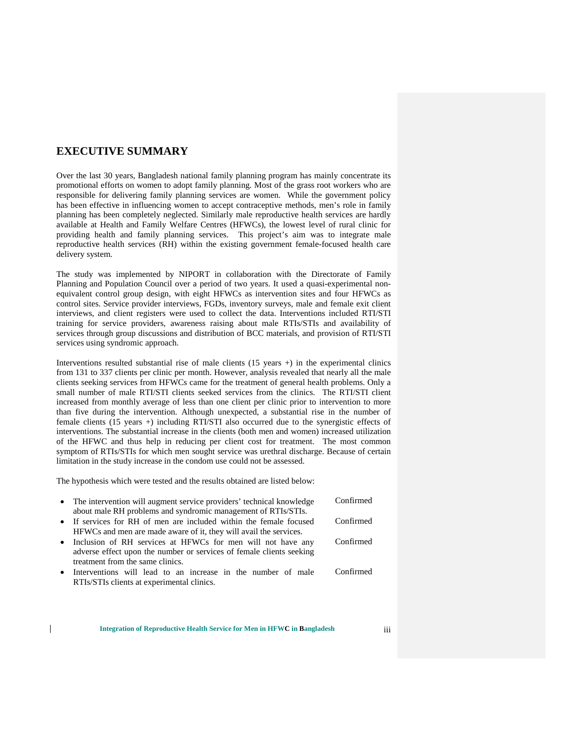## **EXECUTIVE SUMMARY**

Over the last 30 years, Bangladesh national family planning program has mainly concentrate its promotional efforts on women to adopt family planning. Most of the grass root workers who are responsible for delivering family planning services are women. While the government policy has been effective in influencing women to accept contraceptive methods, men's role in family planning has been completely neglected. Similarly male reproductive health services are hardly available at Health and Family Welfare Centres (HFWCs), the lowest level of rural clinic for providing health and family planning services. This project's aim was to integrate male reproductive health services (RH) within the existing government female-focused health care delivery system.

The study was implemented by NIPORT in collaboration with the Directorate of Family Planning and Population Council over a period of two years. It used a quasi-experimental nonequivalent control group design, with eight HFWCs as intervention sites and four HFWCs as control sites. Service provider interviews, FGDs, inventory surveys, male and female exit client interviews, and client registers were used to collect the data. Interventions included RTI/STI training for service providers, awareness raising about male RTIs/STIs and availability of services through group discussions and distribution of BCC materials, and provision of RTI/STI services using syndromic approach.

Interventions resulted substantial rise of male clients  $(15 \text{ years} +)$  in the experimental clinics from 131 to 337 clients per clinic per month. However, analysis revealed that nearly all the male clients seeking services from HFWCs came for the treatment of general health problems. Only a small number of male RTI/STI clients seeked services from the clinics. The RTI/STI client increased from monthly average of less than one client per clinic prior to intervention to more than five during the intervention. Although unexpected, a substantial rise in the number of female clients (15 years +) including RTI/STI also occurred due to the synergistic effects of interventions. The substantial increase in the clients (both men and women) increased utilization of the HFWC and thus help in reducing per client cost for treatment. The most common symptom of RTIs/STIs for which men sought service was urethral discharge. Because of certain limitation in the study increase in the condom use could not be assessed.

The hypothesis which were tested and the results obtained are listed below:

 $\mathsf{I}$ 

| • The intervention will augment service providers' technical knowledge<br>about male RH problems and syndromic management of RTIs/STIs. | Confirmed |
|-----------------------------------------------------------------------------------------------------------------------------------------|-----------|
| • If services for RH of men are included within the female focused                                                                      | Confirmed |
| HFWCs and men are made aware of it, they will avail the services.                                                                       |           |
| • Inclusion of RH services at HFWCs for men will not have any                                                                           | Confirmed |
| adverse effect upon the number or services of female clients seeking                                                                    |           |
| treatment from the same clinics.                                                                                                        |           |
| • Interventions will lead to an increase in the number of male                                                                          | Confirmed |
| RTIs/STIs clients at experimental clinics.                                                                                              |           |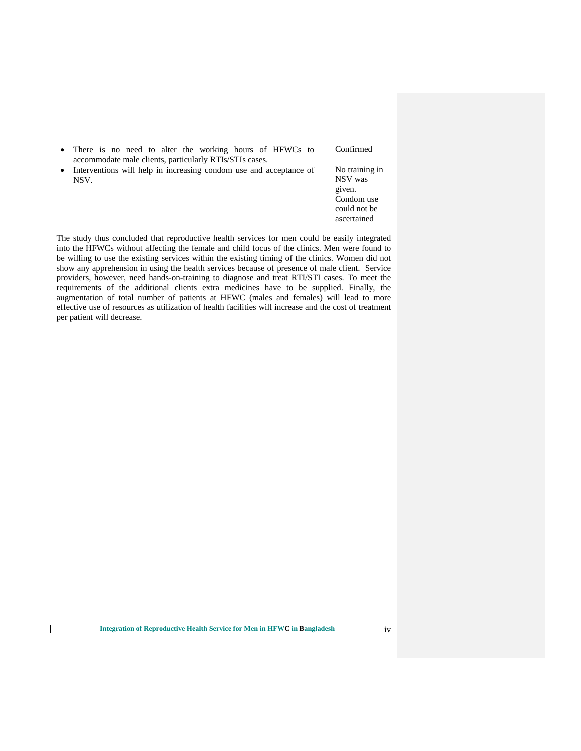|           | • There is no need to alter the working hours of HFWCs to<br>accommodate male clients, particularly RTIs/STIs cases. | Confirmed                                                                        |
|-----------|----------------------------------------------------------------------------------------------------------------------|----------------------------------------------------------------------------------|
| $\bullet$ | Interventions will help in increasing condom use and acceptance of<br>NSV.                                           | No training in<br>NSV was<br>given.<br>Condom use<br>could not be<br>ascertained |

The study thus concluded that reproductive health services for men could be easily integrated into the HFWCs without affecting the female and child focus of the clinics. Men were found to be willing to use the existing services within the existing timing of the clinics. Women did not show any apprehension in using the health services because of presence of male client. Service providers, however, need hands-on-training to diagnose and treat RTI/STI cases. To meet the requirements of the additional clients extra medicines have to be supplied. Finally, the augmentation of total number of patients at HFWC (males and females) will lead to more effective use of resources as utilization of health facilities will increase and the cost of treatment per patient will decrease.

 $\mathsf{I}$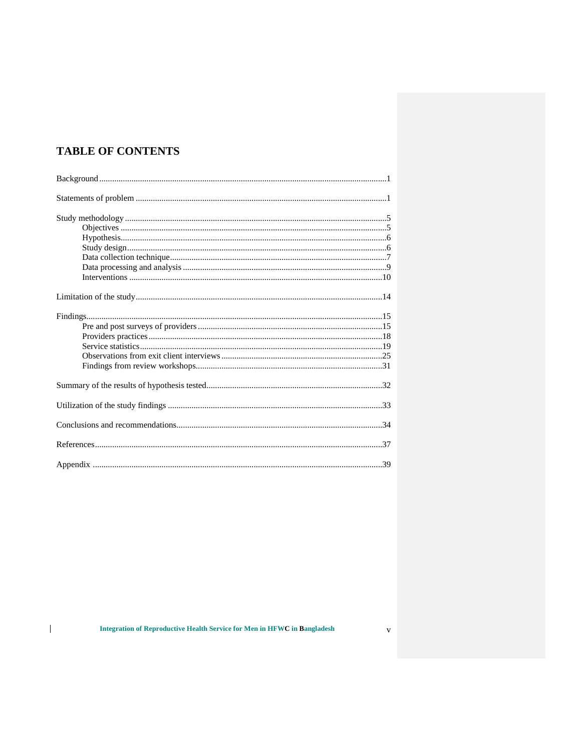## **TABLE OF CONTENTS**

 $\begin{array}{c} \hline \end{array}$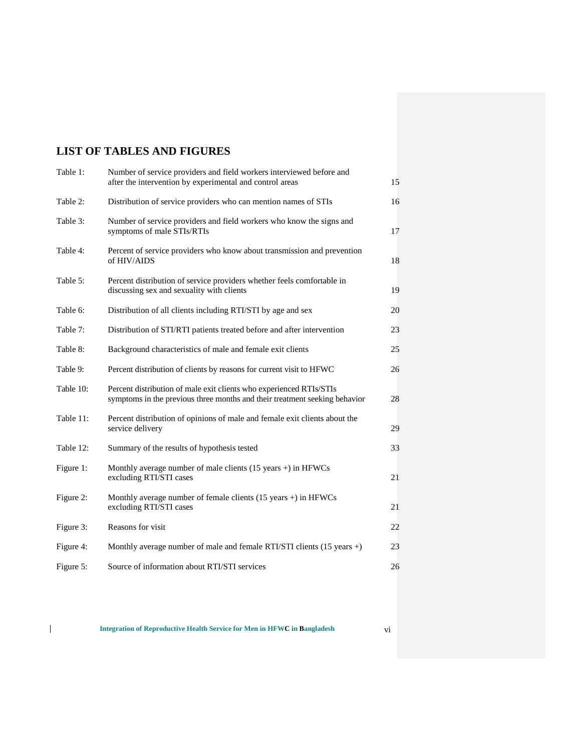## **LIST OF TABLES AND FIGURES**

| Table 1:  | Number of service providers and field workers interviewed before and<br>after the intervention by experimental and control areas                  | 15 |
|-----------|---------------------------------------------------------------------------------------------------------------------------------------------------|----|
| Table 2:  | Distribution of service providers who can mention names of STIs                                                                                   | 16 |
| Table 3:  | Number of service providers and field workers who know the signs and<br>symptoms of male STIs/RTIs                                                | 17 |
| Table 4:  | Percent of service providers who know about transmission and prevention<br>of HIV/AIDS                                                            | 18 |
| Table 5:  | Percent distribution of service providers whether feels comfortable in<br>discussing sex and sexuality with clients                               | 19 |
| Table 6:  | Distribution of all clients including RTI/STI by age and sex                                                                                      | 20 |
| Table 7:  | Distribution of STI/RTI patients treated before and after intervention                                                                            | 23 |
| Table 8:  | Background characteristics of male and female exit clients                                                                                        | 25 |
| Table 9:  | Percent distribution of clients by reasons for current visit to HFWC                                                                              | 26 |
| Table 10: | Percent distribution of male exit clients who experienced RTIs/STIs<br>symptoms in the previous three months and their treatment seeking behavior | 28 |
| Table 11: | Percent distribution of opinions of male and female exit clients about the<br>service delivery                                                    | 29 |
| Table 12: | Summary of the results of hypothesis tested                                                                                                       | 33 |
| Figure 1: | Monthly average number of male clients $(15 \text{ years} +)$ in HFWCs<br>excluding RTI/STI cases                                                 | 21 |
| Figure 2: | Monthly average number of female clients $(15 \text{ years} +)$ in HFWCs<br>excluding RTI/STI cases                                               | 21 |
| Figure 3: | Reasons for visit                                                                                                                                 | 22 |
| Figure 4: | Monthly average number of male and female RTI/STI clients (15 years +)                                                                            | 23 |
| Figure 5: | Source of information about RTI/STI services                                                                                                      | 26 |

 $\begin{array}{c} \hline \end{array}$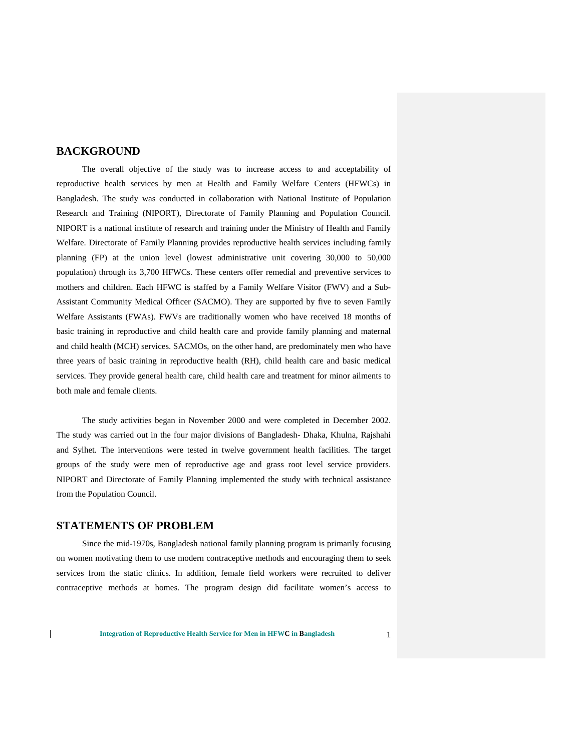## **BACKGROUND**

The overall objective of the study was to increase access to and acceptability of reproductive health services by men at Health and Family Welfare Centers (HFWCs) in Bangladesh. The study was conducted in collaboration with National Institute of Population Research and Training (NIPORT), Directorate of Family Planning and Population Council. NIPORT is a national institute of research and training under the Ministry of Health and Family Welfare. Directorate of Family Planning provides reproductive health services including family planning (FP) at the union level (lowest administrative unit covering 30,000 to 50,000 population) through its 3,700 HFWCs. These centers offer remedial and preventive services to mothers and children. Each HFWC is staffed by a Family Welfare Visitor (FWV) and a Sub-Assistant Community Medical Officer (SACMO). They are supported by five to seven Family Welfare Assistants (FWAs). FWVs are traditionally women who have received 18 months of basic training in reproductive and child health care and provide family planning and maternal and child health (MCH) services. SACMOs, on the other hand, are predominately men who have three years of basic training in reproductive health (RH), child health care and basic medical services. They provide general health care, child health care and treatment for minor ailments to both male and female clients.

The study activities began in November 2000 and were completed in December 2002. The study was carried out in the four major divisions of Bangladesh- Dhaka, Khulna, Rajshahi and Sylhet. The interventions were tested in twelve government health facilities. The target groups of the study were men of reproductive age and grass root level service providers. NIPORT and Directorate of Family Planning implemented the study with technical assistance from the Population Council.

## **STATEMENTS OF PROBLEM**

 $\overline{1}$ 

Since the mid-1970s, Bangladesh national family planning program is primarily focusing on women motivating them to use modern contraceptive methods and encouraging them to seek services from the static clinics. In addition, female field workers were recruited to deliver contraceptive methods at homes. The program design did facilitate women's access to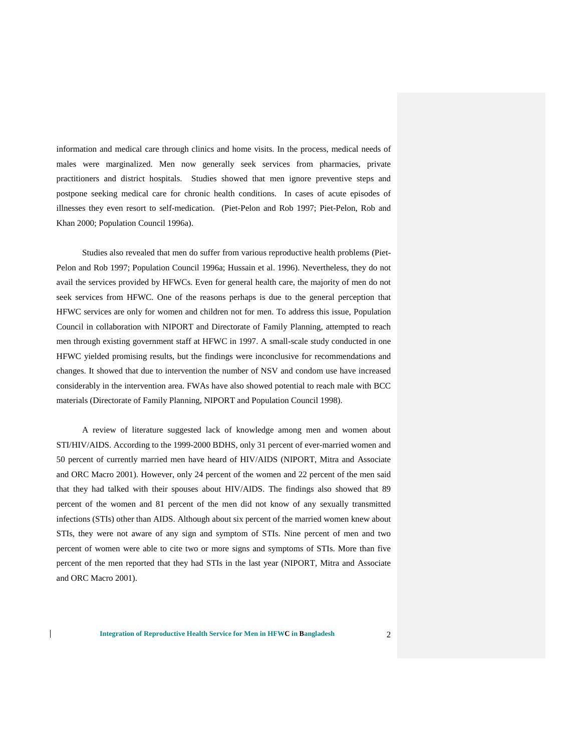information and medical care through clinics and home visits. In the process, medical needs of males were marginalized. Men now generally seek services from pharmacies, private practitioners and district hospitals. Studies showed that men ignore preventive steps and postpone seeking medical care for chronic health conditions. In cases of acute episodes of illnesses they even resort to self-medication. (Piet-Pelon and Rob 1997; Piet-Pelon, Rob and Khan 2000; Population Council 1996a).

Studies also revealed that men do suffer from various reproductive health problems (Piet-Pelon and Rob 1997; Population Council 1996a; Hussain et al. 1996). Nevertheless, they do not avail the services provided by HFWCs. Even for general health care, the majority of men do not seek services from HFWC. One of the reasons perhaps is due to the general perception that HFWC services are only for women and children not for men. To address this issue, Population Council in collaboration with NIPORT and Directorate of Family Planning, attempted to reach men through existing government staff at HFWC in 1997. A small-scale study conducted in one HFWC yielded promising results, but the findings were inconclusive for recommendations and changes. It showed that due to intervention the number of NSV and condom use have increased considerably in the intervention area. FWAs have also showed potential to reach male with BCC materials (Directorate of Family Planning, NIPORT and Population Council 1998).

A review of literature suggested lack of knowledge among men and women about STI/HIV/AIDS. According to the 1999-2000 BDHS, only 31 percent of ever-married women and 50 percent of currently married men have heard of HIV/AIDS (NIPORT, Mitra and Associate and ORC Macro 2001). However, only 24 percent of the women and 22 percent of the men said that they had talked with their spouses about HIV/AIDS. The findings also showed that 89 percent of the women and 81 percent of the men did not know of any sexually transmitted infections (STIs) other than AIDS. Although about six percent of the married women knew about STIs, they were not aware of any sign and symptom of STIs. Nine percent of men and two percent of women were able to cite two or more signs and symptoms of STIs. More than five percent of the men reported that they had STIs in the last year (NIPORT, Mitra and Associate and ORC Macro 2001).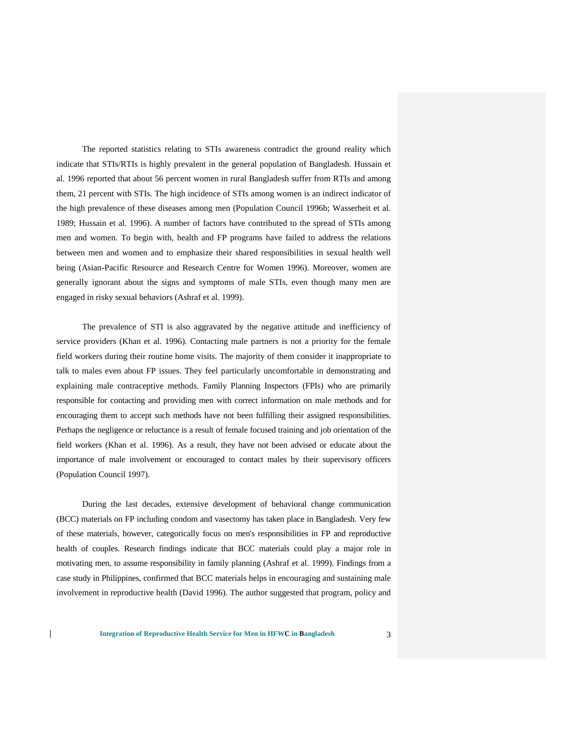The reported statistics relating to STIs awareness contradict the ground reality which indicate that STIs/RTIs is highly prevalent in the general population of Bangladesh. Hussain et al. 1996 reported that about 56 percent women in rural Bangladesh suffer from RTIs and among them, 21 percent with STIs. The high incidence of STIs among women is an indirect indicator of the high prevalence of these diseases among men (Population Council 1996b; Wasserheit et al. 1989; Hussain et al. 1996). A number of factors have contributed to the spread of STIs among men and women. To begin with, health and FP programs have failed to address the relations between men and women and to emphasize their shared responsibilities in sexual health well being (Asian-Pacific Resource and Research Centre for Women 1996). Moreover, women are generally ignorant about the signs and symptoms of male STIs, even though many men are engaged in risky sexual behaviors (Ashraf et al. 1999).

The prevalence of STI is also aggravated by the negative attitude and inefficiency of service providers (Khan et al. 1996). Contacting male partners is not a priority for the female field workers during their routine home visits. The majority of them consider it inappropriate to talk to males even about FP issues. They feel particularly uncomfortable in demonstrating and explaining male contraceptive methods. Family Planning Inspectors (FPIs) who are primarily responsible for contacting and providing men with correct information on male methods and for encouraging them to accept such methods have not been fulfilling their assigned responsibilities. Perhaps the negligence or reluctance is a result of female focused training and job orientation of the field workers (Khan et al. 1996). As a result, they have not been advised or educate about the importance of male involvement or encouraged to contact males by their supervisory officers (Population Council 1997).

During the last decades, extensive development of behavioral change communication (BCC) materials on FP including condom and vasectomy has taken place in Bangladesh. Very few of these materials, however, categorically focus on men's responsibilities in FP and reproductive health of couples. Research findings indicate that BCC materials could play a major role in motivating men, to assume responsibility in family planning (Ashraf et al. 1999). Findings from a case study in Philippines, confirmed that BCC materials helps in encouraging and sustaining male involvement in reproductive health (David 1996). The author suggested that program, policy and

 $\mathsf{l}$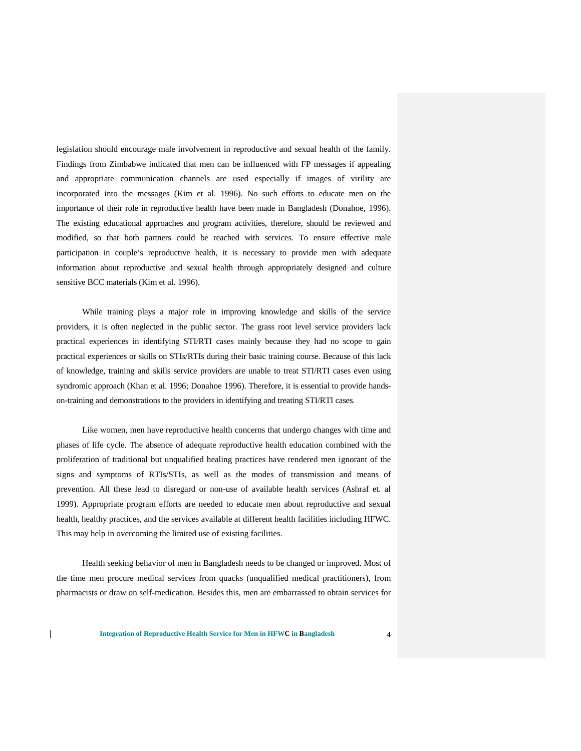legislation should encourage male involvement in reproductive and sexual health of the family. Findings from Zimbabwe indicated that men can be influenced with FP messages if appealing and appropriate communication channels are used especially if images of virility are incorporated into the messages (Kim et al. 1996). No such efforts to educate men on the importance of their role in reproductive health have been made in Bangladesh (Donahoe, 1996). The existing educational approaches and program activities, therefore, should be reviewed and modified, so that both partners could be reached with services. To ensure effective male participation in couple's reproductive health, it is necessary to provide men with adequate information about reproductive and sexual health through appropriately designed and culture sensitive BCC materials (Kim et al. 1996).

While training plays a major role in improving knowledge and skills of the service providers, it is often neglected in the public sector. The grass root level service providers lack practical experiences in identifying STI/RTI cases mainly because they had no scope to gain practical experiences or skills on STIs/RTIs during their basic training course. Because of this lack of knowledge, training and skills service providers are unable to treat STI/RTI cases even using syndromic approach (Khan et al. 1996; Donahoe 1996). Therefore, it is essential to provide handson-training and demonstrations to the providers in identifying and treating STI/RTI cases.

Like women, men have reproductive health concerns that undergo changes with time and phases of life cycle. The absence of adequate reproductive health education combined with the proliferation of traditional but unqualified healing practices have rendered men ignorant of the signs and symptoms of RTIs/STIs, as well as the modes of transmission and means of prevention. All these lead to disregard or non-use of available health services (Ashraf et. al 1999). Appropriate program efforts are needed to educate men about reproductive and sexual health, healthy practices, and the services available at different health facilities including HFWC. This may help in overcoming the limited use of existing facilities.

Health seeking behavior of men in Bangladesh needs to be changed or improved. Most of the time men procure medical services from quacks (unqualified medical practitioners), from pharmacists or draw on self-medication. Besides this, men are embarrassed to obtain services for

 $\mathbf{I}$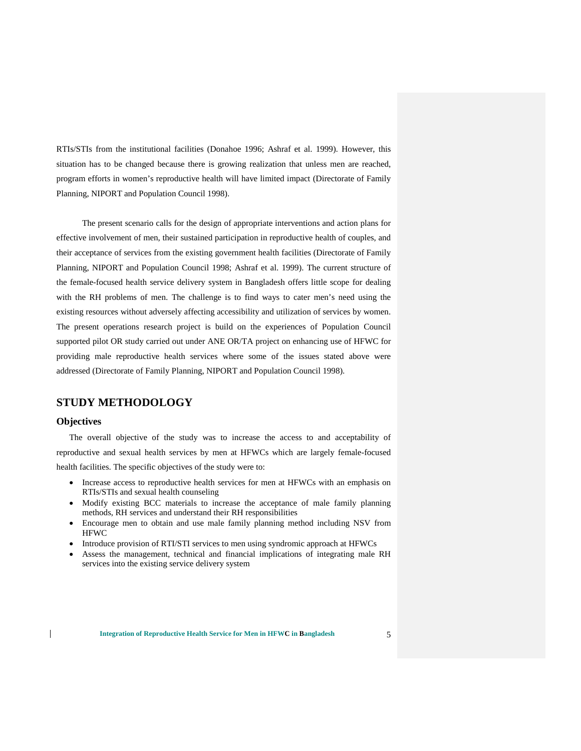RTIs/STIs from the institutional facilities (Donahoe 1996; Ashraf et al. 1999). However, this situation has to be changed because there is growing realization that unless men are reached, program efforts in women's reproductive health will have limited impact (Directorate of Family Planning, NIPORT and Population Council 1998).

The present scenario calls for the design of appropriate interventions and action plans for effective involvement of men, their sustained participation in reproductive health of couples, and their acceptance of services from the existing government health facilities (Directorate of Family Planning, NIPORT and Population Council 1998; Ashraf et al. 1999). The current structure of the female-focused health service delivery system in Bangladesh offers little scope for dealing with the RH problems of men. The challenge is to find ways to cater men's need using the existing resources without adversely affecting accessibility and utilization of services by women. The present operations research project is build on the experiences of Population Council supported pilot OR study carried out under ANE OR/TA project on enhancing use of HFWC for providing male reproductive health services where some of the issues stated above were addressed (Directorate of Family Planning, NIPORT and Population Council 1998).

## **STUDY METHODOLOGY**

#### **Objectives**

 $\overline{1}$ 

The overall objective of the study was to increase the access to and acceptability of reproductive and sexual health services by men at HFWCs which are largely female-focused health facilities. The specific objectives of the study were to:

- Increase access to reproductive health services for men at HFWCs with an emphasis on RTIs/STIs and sexual health counseling
- Modify existing BCC materials to increase the acceptance of male family planning methods, RH services and understand their RH responsibilities
- Encourage men to obtain and use male family planning method including NSV from HFWC
- Introduce provision of RTI/STI services to men using syndromic approach at HFWCs
- Assess the management, technical and financial implications of integrating male RH services into the existing service delivery system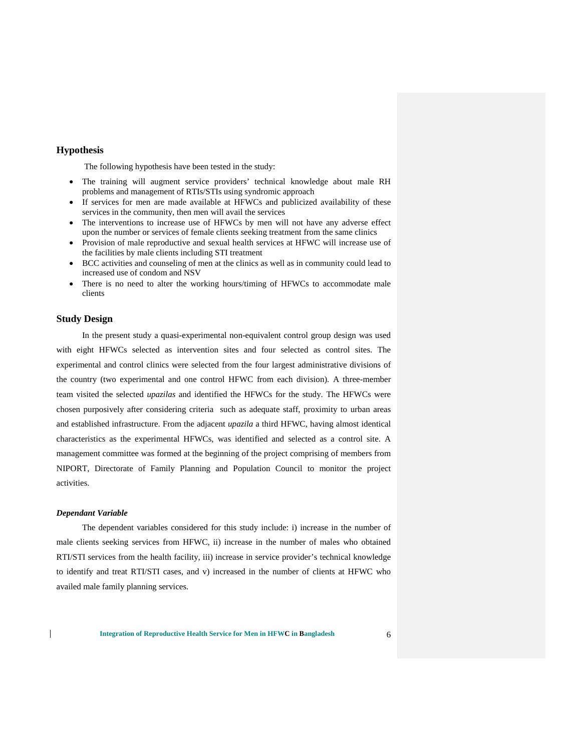#### **Hypothesis**

The following hypothesis have been tested in the study:

- The training will augment service providers' technical knowledge about male RH problems and management of RTIs/STIs using syndromic approach
- If services for men are made available at HFWCs and publicized availability of these services in the community, then men will avail the services
- The interventions to increase use of HFWCs by men will not have any adverse effect upon the number or services of female clients seeking treatment from the same clinics
- Provision of male reproductive and sexual health services at HFWC will increase use of the facilities by male clients including STI treatment
- BCC activities and counseling of men at the clinics as well as in community could lead to increased use of condom and NSV
- There is no need to alter the working hours/timing of HFWCs to accommodate male clients

#### **Study Design**

In the present study a quasi-experimental non-equivalent control group design was used with eight HFWCs selected as intervention sites and four selected as control sites. The experimental and control clinics were selected from the four largest administrative divisions of the country (two experimental and one control HFWC from each division). A three-member team visited the selected *upazilas* and identified the HFWCs for the study. The HFWCs were chosen purposively after considering criteria such as adequate staff, proximity to urban areas and established infrastructure. From the adjacent *upazila* a third HFWC, having almost identical characteristics as the experimental HFWCs, was identified and selected as a control site. A management committee was formed at the beginning of the project comprising of members from NIPORT, Directorate of Family Planning and Population Council to monitor the project activities.

#### *Dependant Variable*

 $\overline{1}$ 

The dependent variables considered for this study include: i) increase in the number of male clients seeking services from HFWC, ii) increase in the number of males who obtained RTI/STI services from the health facility, iii) increase in service provider's technical knowledge to identify and treat RTI/STI cases, and v) increased in the number of clients at HFWC who availed male family planning services.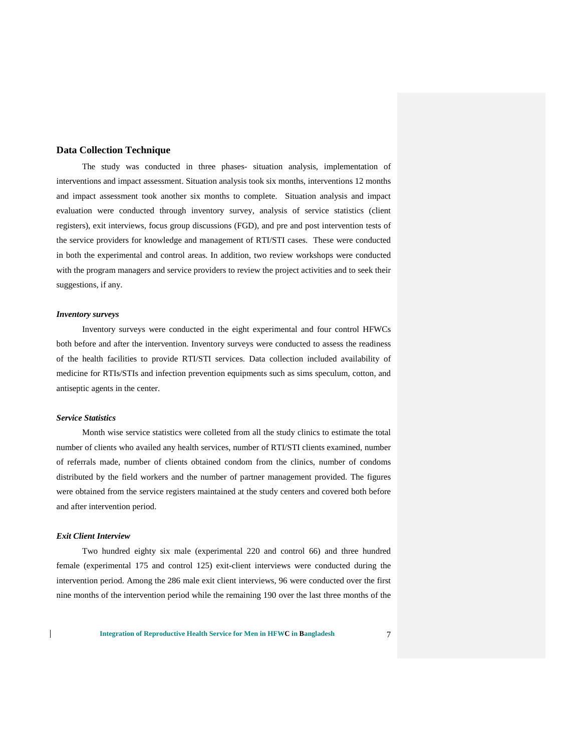#### **Data Collection Technique**

The study was conducted in three phases- situation analysis, implementation of interventions and impact assessment. Situation analysis took six months, interventions 12 months and impact assessment took another six months to complete. Situation analysis and impact evaluation were conducted through inventory survey, analysis of service statistics (client registers), exit interviews, focus group discussions (FGD), and pre and post intervention tests of the service providers for knowledge and management of RTI/STI cases. These were conducted in both the experimental and control areas. In addition, two review workshops were conducted with the program managers and service providers to review the project activities and to seek their suggestions, if any.

#### *Inventory surveys*

Inventory surveys were conducted in the eight experimental and four control HFWCs both before and after the intervention. Inventory surveys were conducted to assess the readiness of the health facilities to provide RTI/STI services. Data collection included availability of medicine for RTIs/STIs and infection prevention equipments such as sims speculum, cotton, and antiseptic agents in the center.

#### *Service Statistics*

Month wise service statistics were colleted from all the study clinics to estimate the total number of clients who availed any health services, number of RTI/STI clients examined, number of referrals made, number of clients obtained condom from the clinics, number of condoms distributed by the field workers and the number of partner management provided. The figures were obtained from the service registers maintained at the study centers and covered both before and after intervention period.

#### *Exit Client Interview*

 $\mathsf{l}$ 

Two hundred eighty six male (experimental 220 and control 66) and three hundred female (experimental 175 and control 125) exit-client interviews were conducted during the intervention period. Among the 286 male exit client interviews, 96 were conducted over the first nine months of the intervention period while the remaining 190 over the last three months of the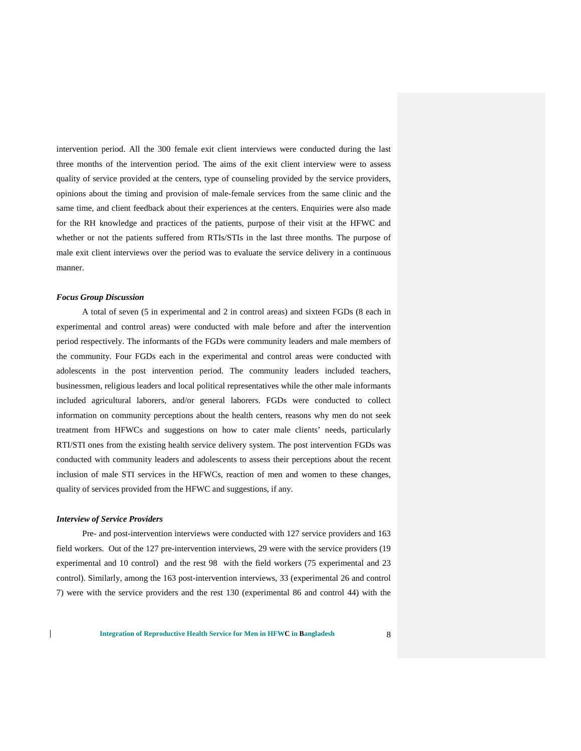intervention period. All the 300 female exit client interviews were conducted during the last three months of the intervention period. The aims of the exit client interview were to assess quality of service provided at the centers, type of counseling provided by the service providers, opinions about the timing and provision of male-female services from the same clinic and the same time, and client feedback about their experiences at the centers. Enquiries were also made for the RH knowledge and practices of the patients, purpose of their visit at the HFWC and whether or not the patients suffered from RTIs/STIs in the last three months. The purpose of male exit client interviews over the period was to evaluate the service delivery in a continuous manner.

#### *Focus Group Discussion*

A total of seven (5 in experimental and 2 in control areas) and sixteen FGDs (8 each in experimental and control areas) were conducted with male before and after the intervention period respectively. The informants of the FGDs were community leaders and male members of the community. Four FGDs each in the experimental and control areas were conducted with adolescents in the post intervention period. The community leaders included teachers, businessmen, religious leaders and local political representatives while the other male informants included agricultural laborers, and/or general laborers. FGDs were conducted to collect information on community perceptions about the health centers, reasons why men do not seek treatment from HFWCs and suggestions on how to cater male clients' needs, particularly RTI/STI ones from the existing health service delivery system. The post intervention FGDs was conducted with community leaders and adolescents to assess their perceptions about the recent inclusion of male STI services in the HFWCs, reaction of men and women to these changes, quality of services provided from the HFWC and suggestions, if any.

#### *Interview of Service Providers*

 $\mathsf{l}$ 

Pre- and post-intervention interviews were conducted with 127 service providers and 163 field workers. Out of the 127 pre-intervention interviews, 29 were with the service providers (19 experimental and 10 control) and the rest 98 with the field workers (75 experimental and 23 control). Similarly, among the 163 post-intervention interviews, 33 (experimental 26 and control 7) were with the service providers and the rest 130 (experimental 86 and control 44) with the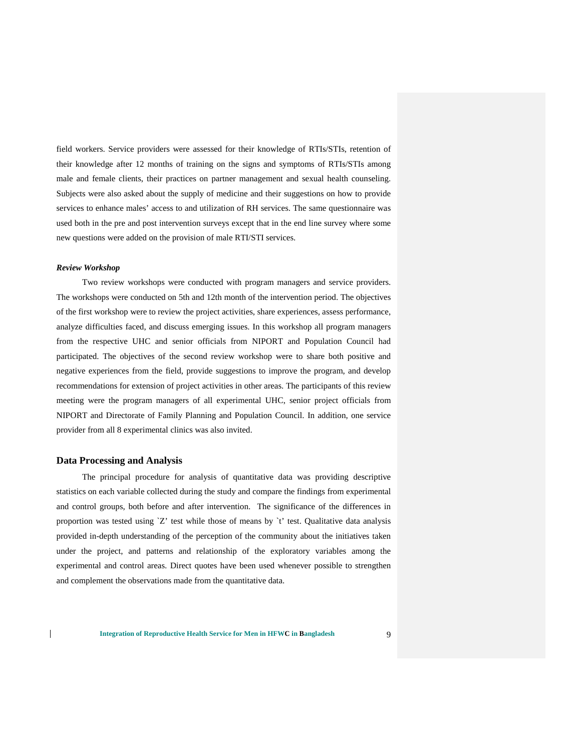field workers. Service providers were assessed for their knowledge of RTIs/STIs, retention of their knowledge after 12 months of training on the signs and symptoms of RTIs/STIs among male and female clients, their practices on partner management and sexual health counseling. Subjects were also asked about the supply of medicine and their suggestions on how to provide services to enhance males' access to and utilization of RH services. The same questionnaire was used both in the pre and post intervention surveys except that in the end line survey where some new questions were added on the provision of male RTI/STI services.

#### *Review Workshop*

Two review workshops were conducted with program managers and service providers. The workshops were conducted on 5th and 12th month of the intervention period. The objectives of the first workshop were to review the project activities, share experiences, assess performance, analyze difficulties faced, and discuss emerging issues. In this workshop all program managers from the respective UHC and senior officials from NIPORT and Population Council had participated. The objectives of the second review workshop were to share both positive and negative experiences from the field, provide suggestions to improve the program, and develop recommendations for extension of project activities in other areas. The participants of this review meeting were the program managers of all experimental UHC, senior project officials from NIPORT and Directorate of Family Planning and Population Council. In addition, one service provider from all 8 experimental clinics was also invited.

#### **Data Processing and Analysis**

 $\mathsf{l}$ 

The principal procedure for analysis of quantitative data was providing descriptive statistics on each variable collected during the study and compare the findings from experimental and control groups, both before and after intervention. The significance of the differences in proportion was tested using  $Z'$  test while those of means by  $t'$  test. Qualitative data analysis provided in-depth understanding of the perception of the community about the initiatives taken under the project, and patterns and relationship of the exploratory variables among the experimental and control areas. Direct quotes have been used whenever possible to strengthen and complement the observations made from the quantitative data.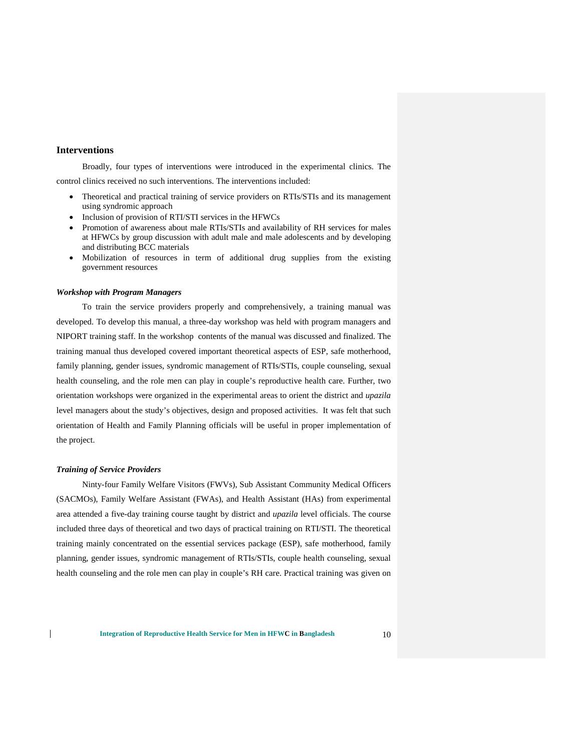### **Interventions**

Broadly, four types of interventions were introduced in the experimental clinics. The control clinics received no such interventions. The interventions included:

- Theoretical and practical training of service providers on RTIs/STIs and its management using syndromic approach
- Inclusion of provision of RTI/STI services in the HFWCs
- Promotion of awareness about male RTIs/STIs and availability of RH services for males at HFWCs by group discussion with adult male and male adolescents and by developing and distributing BCC materials
- Mobilization of resources in term of additional drug supplies from the existing government resources

#### *Workshop with Program Managers*

To train the service providers properly and comprehensively, a training manual was developed. To develop this manual, a three-day workshop was held with program managers and NIPORT training staff. In the workshop contents of the manual was discussed and finalized. The training manual thus developed covered important theoretical aspects of ESP, safe motherhood, family planning, gender issues, syndromic management of RTIs/STIs, couple counseling, sexual health counseling, and the role men can play in couple's reproductive health care. Further, two orientation workshops were organized in the experimental areas to orient the district and *upazila* level managers about the study's objectives, design and proposed activities. It was felt that such orientation of Health and Family Planning officials will be useful in proper implementation of the project.

#### *Training of Service Providers*

 $\overline{1}$ 

Ninty-four Family Welfare Visitors (FWVs), Sub Assistant Community Medical Officers (SACMOs), Family Welfare Assistant (FWAs), and Health Assistant (HAs) from experimental area attended a five-day training course taught by district and *upazila* level officials. The course included three days of theoretical and two days of practical training on RTI/STI. The theoretical training mainly concentrated on the essential services package (ESP), safe motherhood, family planning, gender issues, syndromic management of RTIs/STIs, couple health counseling, sexual health counseling and the role men can play in couple's RH care. Practical training was given on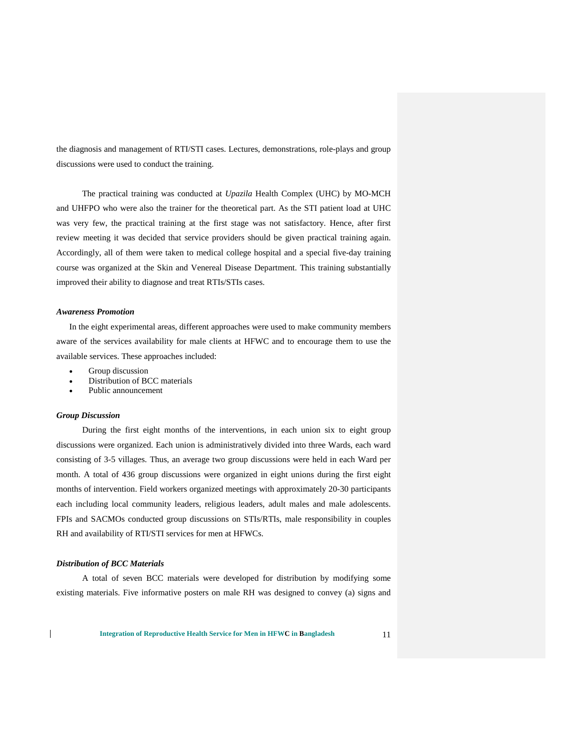the diagnosis and management of RTI/STI cases. Lectures, demonstrations, role-plays and group discussions were used to conduct the training.

The practical training was conducted at *Upazila* Health Complex (UHC) by MO-MCH and UHFPO who were also the trainer for the theoretical part. As the STI patient load at UHC was very few, the practical training at the first stage was not satisfactory. Hence, after first review meeting it was decided that service providers should be given practical training again. Accordingly, all of them were taken to medical college hospital and a special five-day training course was organized at the Skin and Venereal Disease Department. This training substantially improved their ability to diagnose and treat RTIs/STIs cases.

#### *Awareness Promotion*

In the eight experimental areas, different approaches were used to make community members aware of the services availability for male clients at HFWC and to encourage them to use the available services. These approaches included:

- Group discussion
- Distribution of BCC materials
- Public announcement

#### *Group Discussion*

During the first eight months of the interventions, in each union six to eight group discussions were organized. Each union is administratively divided into three Wards, each ward consisting of 3-5 villages. Thus, an average two group discussions were held in each Ward per month. A total of 436 group discussions were organized in eight unions during the first eight months of intervention. Field workers organized meetings with approximately 20-30 participants each including local community leaders, religious leaders, adult males and male adolescents. FPIs and SACMOs conducted group discussions on STIs/RTIs, male responsibility in couples RH and availability of RTI/STI services for men at HFWCs.

#### *Distribution of BCC Materials*

 $\mathsf{l}$ 

A total of seven BCC materials were developed for distribution by modifying some existing materials. Five informative posters on male RH was designed to convey (a) signs and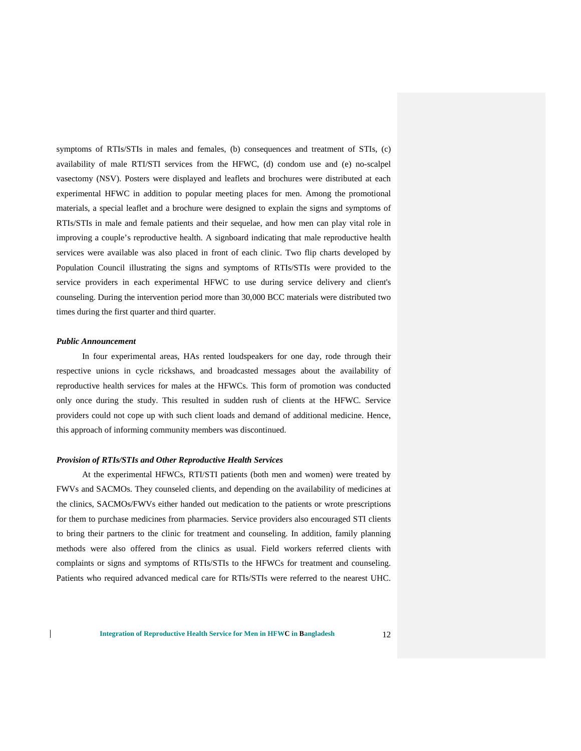symptoms of RTIs/STIs in males and females, (b) consequences and treatment of STIs, (c) availability of male RTI/STI services from the HFWC, (d) condom use and (e) no-scalpel vasectomy (NSV). Posters were displayed and leaflets and brochures were distributed at each experimental HFWC in addition to popular meeting places for men. Among the promotional materials, a special leaflet and a brochure were designed to explain the signs and symptoms of RTIs/STIs in male and female patients and their sequelae, and how men can play vital role in improving a couple's reproductive health. A signboard indicating that male reproductive health services were available was also placed in front of each clinic. Two flip charts developed by Population Council illustrating the signs and symptoms of RTIs/STIs were provided to the service providers in each experimental HFWC to use during service delivery and client's counseling. During the intervention period more than 30,000 BCC materials were distributed two times during the first quarter and third quarter.

#### *Public Announcement*

 $\mathbf{I}$ 

In four experimental areas, HAs rented loudspeakers for one day, rode through their respective unions in cycle rickshaws, and broadcasted messages about the availability of reproductive health services for males at the HFWCs. This form of promotion was conducted only once during the study. This resulted in sudden rush of clients at the HFWC. Service providers could not cope up with such client loads and demand of additional medicine. Hence, this approach of informing community members was discontinued.

#### *Provision of RTIs/STIs and Other Reproductive Health Services*

At the experimental HFWCs, RTI/STI patients (both men and women) were treated by FWVs and SACMOs. They counseled clients, and depending on the availability of medicines at the clinics, SACMOs/FWVs either handed out medication to the patients or wrote prescriptions for them to purchase medicines from pharmacies. Service providers also encouraged STI clients to bring their partners to the clinic for treatment and counseling. In addition, family planning methods were also offered from the clinics as usual. Field workers referred clients with complaints or signs and symptoms of RTIs/STIs to the HFWCs for treatment and counseling. Patients who required advanced medical care for RTIs/STIs were referred to the nearest UHC.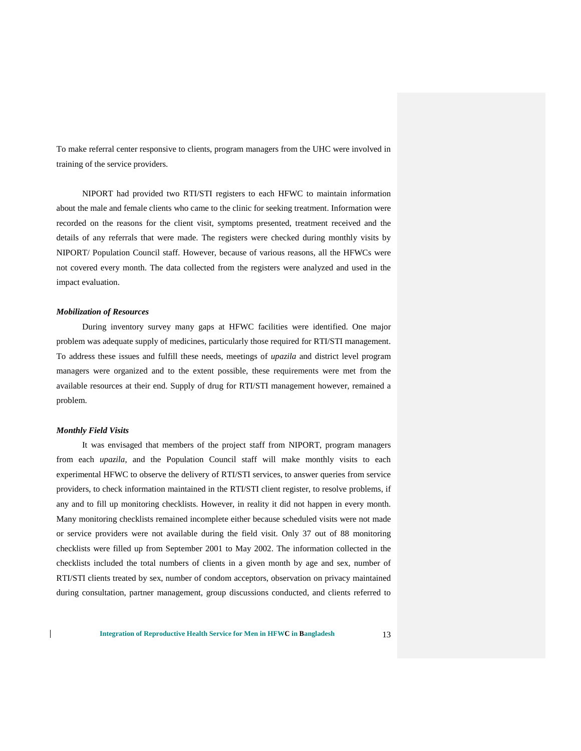To make referral center responsive to clients, program managers from the UHC were involved in training of the service providers.

NIPORT had provided two RTI/STI registers to each HFWC to maintain information about the male and female clients who came to the clinic for seeking treatment. Information were recorded on the reasons for the client visit, symptoms presented, treatment received and the details of any referrals that were made. The registers were checked during monthly visits by NIPORT/ Population Council staff. However, because of various reasons, all the HFWCs were not covered every month. The data collected from the registers were analyzed and used in the impact evaluation.

#### *Mobilization of Resources*

During inventory survey many gaps at HFWC facilities were identified. One major problem was adequate supply of medicines, particularly those required for RTI/STI management. To address these issues and fulfill these needs, meetings of *upazila* and district level program managers were organized and to the extent possible, these requirements were met from the available resources at their end. Supply of drug for RTI/STI management however, remained a problem.

#### *Monthly Field Visits*

 $\mathbf{I}$ 

It was envisaged that members of the project staff from NIPORT, program managers from each *upazila*, and the Population Council staff will make monthly visits to each experimental HFWC to observe the delivery of RTI/STI services, to answer queries from service providers, to check information maintained in the RTI/STI client register, to resolve problems, if any and to fill up monitoring checklists. However, in reality it did not happen in every month. Many monitoring checklists remained incomplete either because scheduled visits were not made or service providers were not available during the field visit. Only 37 out of 88 monitoring checklists were filled up from September 2001 to May 2002. The information collected in the checklists included the total numbers of clients in a given month by age and sex, number of RTI/STI clients treated by sex, number of condom acceptors, observation on privacy maintained during consultation, partner management, group discussions conducted, and clients referred to

**Integration of Reproductive Health Service for Men in HFWC in Bangladesh** 13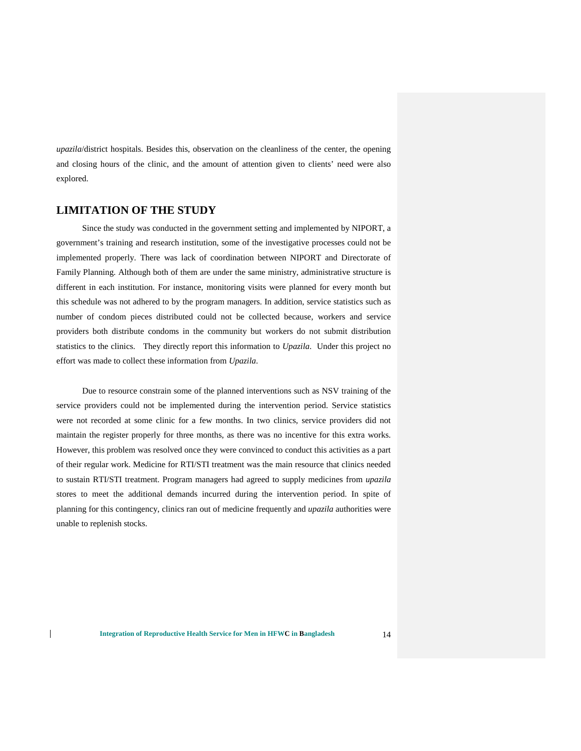*upazila*/district hospitals. Besides this, observation on the cleanliness of the center, the opening and closing hours of the clinic, and the amount of attention given to clients' need were also explored.

## **LIMITATION OF THE STUDY**

Since the study was conducted in the government setting and implemented by NIPORT, a government's training and research institution, some of the investigative processes could not be implemented properly. There was lack of coordination between NIPORT and Directorate of Family Planning. Although both of them are under the same ministry, administrative structure is different in each institution. For instance, monitoring visits were planned for every month but this schedule was not adhered to by the program managers. In addition, service statistics such as number of condom pieces distributed could not be collected because, workers and service providers both distribute condoms in the community but workers do not submit distribution statistics to the clinics. They directly report this information to *Upazila*. Under this project no effort was made to collect these information from *Upazila*.

Due to resource constrain some of the planned interventions such as NSV training of the service providers could not be implemented during the intervention period. Service statistics were not recorded at some clinic for a few months. In two clinics, service providers did not maintain the register properly for three months, as there was no incentive for this extra works. However, this problem was resolved once they were convinced to conduct this activities as a part of their regular work. Medicine for RTI/STI treatment was the main resource that clinics needed to sustain RTI/STI treatment. Program managers had agreed to supply medicines from *upazila* stores to meet the additional demands incurred during the intervention period. In spite of planning for this contingency, clinics ran out of medicine frequently and *upazila* authorities were unable to replenish stocks.

 $\mathbf{I}$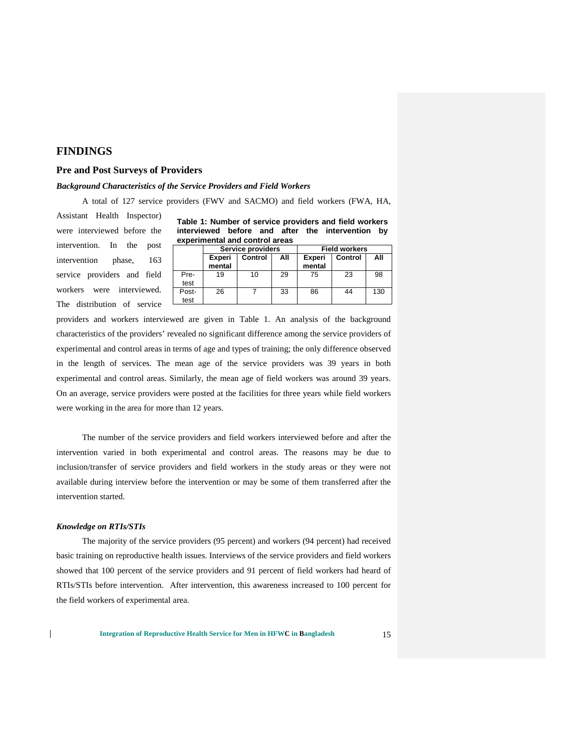## **FINDINGS**

#### **Pre and Post Surveys of Providers**

#### *Background Characteristics of the Service Providers and Field Workers*

A total of 127 service providers (FWV and SACMO) and field workers (FWA, HA,

Assistant Health Inspector) were interviewed before the intervention. In the post intervention phase, 163 service providers and field workers were interviewed. The distribution of service

|                                |  |  |  |  | Table 1: Number of service providers and field workers |  |  |  |
|--------------------------------|--|--|--|--|--------------------------------------------------------|--|--|--|
|                                |  |  |  |  | interviewed before and after the intervention by       |  |  |  |
| experimental and control areas |  |  |  |  |                                                        |  |  |  |

|               |                  | Service providers |     | <b>Field workers</b>    |         |     |  |
|---------------|------------------|-------------------|-----|-------------------------|---------|-----|--|
|               | Experi<br>mental | Control           | All | <b>Experi</b><br>mental | Control | All |  |
| Pre-<br>test  | 19               | 10                | 29  | 75                      | 23      | 98  |  |
| Post-<br>test | 26               |                   | 33  | 86                      | 44      | 130 |  |

providers and workers interviewed are given in Table 1. An analysis of the background characteristics of the providers' revealed no significant difference among the service providers of experimental and control areas in terms of age and types of training; the only difference observed in the length of services. The mean age of the service providers was 39 years in both experimental and control areas. Similarly, the mean age of field workers was around 39 years. On an average, service providers were posted at the facilities for three years while field workers were working in the area for more than 12 years.

The number of the service providers and field workers interviewed before and after the intervention varied in both experimental and control areas. The reasons may be due to inclusion/transfer of service providers and field workers in the study areas or they were not available during interview before the intervention or may be some of them transferred after the intervention started.

#### *Knowledge on RTIs/STIs*

 $\mathsf{l}$ 

The majority of the service providers (95 percent) and workers (94 percent) had received basic training on reproductive health issues. Interviews of the service providers and field workers showed that 100 percent of the service providers and 91 percent of field workers had heard of RTIs/STIs before intervention. After intervention, this awareness increased to 100 percent for the field workers of experimental area.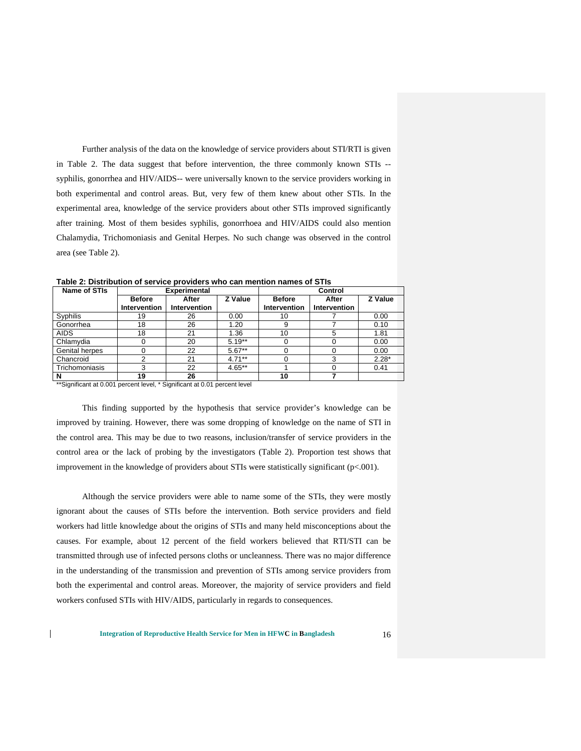Further analysis of the data on the knowledge of service providers about STI/RTI is given in Table 2. The data suggest that before intervention, the three commonly known STIs - syphilis, gonorrhea and HIV/AIDS-- were universally known to the service providers working in both experimental and control areas. But, very few of them knew about other STIs. In the experimental area, knowledge of the service providers about other STIs improved significantly after training. Most of them besides syphilis, gonorrhoea and HIV/AIDS could also mention Chalamydia, Trichomoniasis and Genital Herpes. No such change was observed in the control area (see Table 2).

| Name of STIs   |               | <b>Experimental</b> |           |                     |              |         |
|----------------|---------------|---------------------|-----------|---------------------|--------------|---------|
|                | <b>Before</b> | After               | Z Value   | <b>Before</b>       | After        | Z Value |
|                | Intervention  | Intervention        |           | <b>Intervention</b> | Intervention |         |
| Syphilis       | 19            | 26                  | 0.00      | 10                  |              | 0.00    |
| Gonorrhea      | 18            | 26                  | 1.20      | 9                   |              | 0.10    |
| <b>AIDS</b>    | 18            | 21                  | 1.36      | 10                  | 5            | 1.81    |
| Chlamydia      |               | 20                  | $5.19**$  |                     |              | 0.00    |
| Genital herpes |               | 22                  | $5.67**$  |                     | 0            | 0.00    |
| Chancroid      |               | 21                  | $4.71***$ |                     | 3            | $2.28*$ |
| Trichomoniasis | 3             | 22                  | $4.65**$  |                     | 0            | 0.41    |
|                | 19            | 26                  |           | 10                  |              |         |

**Table 2: Distribution of service providers who can mention names of STIs**

\*\*Significant at 0.001 percent level, \* Significant at 0.01 percent level

 $\mathsf{l}$ 

This finding supported by the hypothesis that service provider's knowledge can be improved by training. However, there was some dropping of knowledge on the name of STI in the control area. This may be due to two reasons, inclusion/transfer of service providers in the control area or the lack of probing by the investigators (Table 2). Proportion test shows that improvement in the knowledge of providers about STIs were statistically significant (p<.001).

Although the service providers were able to name some of the STIs, they were mostly ignorant about the causes of STIs before the intervention. Both service providers and field workers had little knowledge about the origins of STIs and many held misconceptions about the causes. For example, about 12 percent of the field workers believed that RTI/STI can be transmitted through use of infected persons cloths or uncleanness. There was no major difference in the understanding of the transmission and prevention of STIs among service providers from both the experimental and control areas. Moreover, the majority of service providers and field workers confused STIs with HIV/AIDS, particularly in regards to consequences.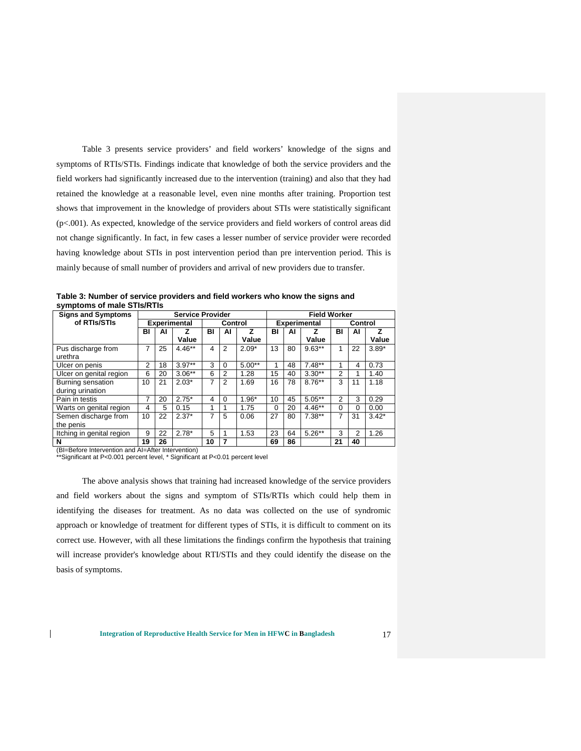Table 3 presents service providers' and field workers' knowledge of the signs and symptoms of RTIs/STIs. Findings indicate that knowledge of both the service providers and the field workers had significantly increased due to the intervention (training) and also that they had retained the knowledge at a reasonable level, even nine months after training. Proportion test shows that improvement in the knowledge of providers about STIs were statistically significant (p<.001). As expected, knowledge of the service providers and field workers of control areas did not change significantly. In fact, in few cases a lesser number of service provider were recorded having knowledge about STIs in post intervention period than pre intervention period. This is mainly because of small number of providers and arrival of new providers due to transfer.

**Table 3: Number of service providers and field workers who know the signs and symptoms of male STIs/RTIs**

| <b>Signs and Symptoms</b> | <b>Service Provider</b> |    |                     |    |                | <b>Field Worker</b> |                     |    |           |         |                |         |
|---------------------------|-------------------------|----|---------------------|----|----------------|---------------------|---------------------|----|-----------|---------|----------------|---------|
| of RTIs/STIs              |                         |    | <b>Experimental</b> |    | Control        |                     | <b>Experimental</b> |    |           | Control |                |         |
|                           | BI                      | Al | z                   | BI | ΑI             | z                   | BI                  | AI | z         | BI      | ΑI             | z       |
|                           |                         |    | Value               |    |                | Value               |                     |    | Value     |         |                | Value   |
| Pus discharge from        | 7                       | 25 | $4.46**$            | 4  | $\overline{2}$ | $2.09*$             | 13                  | 80 | $9.63**$  | 1       | 22             | $3.89*$ |
| urethra                   |                         |    |                     |    |                |                     |                     |    |           |         |                |         |
| Ulcer on penis            | $\overline{2}$          | 18 | $3.97**$            | 3  | $\Omega$       | $5.00**$            | 4                   | 48 | $7.48**$  |         | 4              | 0.73    |
| Ulcer on genital region   | 6                       | 20 | $3.06**$            | 6  | $\overline{2}$ | 1.28                | 15                  | 40 | $3.30**$  | 2       |                | 1.40    |
| Burning sensation         | 10                      | 21 | $2.03*$             | 7  | $\overline{2}$ | 1.69                | 16                  | 78 | $8.76**$  | 3       | 11             | 1.18    |
| during urination          |                         |    |                     |    |                |                     |                     |    |           |         |                |         |
| Pain in testis            | 7                       | 20 | $2.75*$             | 4  | $\Omega$       | $1.96*$             | 10                  | 45 | $5.05***$ | 2       | 3              | 0.29    |
| Warts on genital region   | 4                       | 5  | 0.15                |    | 1              | 1.75                | $\Omega$            | 20 | $4.46**$  | 0       | $\Omega$       | 0.00    |
| Semen discharge from      | 10                      | 22 | $2.37*$             | 7  | 5              | 0.06                | 27                  | 80 | $7.38**$  | 7       | 31             | $3.42*$ |
| the penis                 |                         |    |                     |    |                |                     |                     |    |           |         |                |         |
| Itching in genital region | 9                       | 22 | $2.78*$             | 5  | 1              | 1.53                | 23                  | 64 | $5.26**$  | 3       | $\overline{2}$ | 1.26    |
| N                         | 19                      | 26 |                     | 10 | 7              |                     | 69                  | 86 |           | 21      | 40             |         |

(BI=Before Intervention and AI=After Intervention)

 $\mathbf{I}$ 

\*\*Significant at P<0.001 percent level, \* Significant at P<0.01 percent level

The above analysis shows that training had increased knowledge of the service providers and field workers about the signs and symptom of STIs/RTIs which could help them in identifying the diseases for treatment. As no data was collected on the use of syndromic approach or knowledge of treatment for different types of STIs, it is difficult to comment on its correct use. However, with all these limitations the findings confirm the hypothesis that training will increase provider's knowledge about RTI/STIs and they could identify the disease on the basis of symptoms.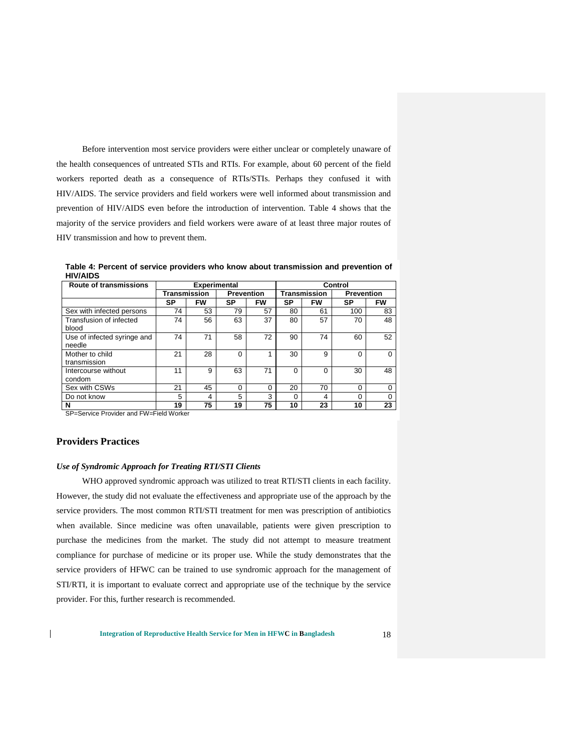Before intervention most service providers were either unclear or completely unaware of the health consequences of untreated STIs and RTIs. For example, about 60 percent of the field workers reported death as a consequence of RTIs/STIs. Perhaps they confused it with HIV/AIDS. The service providers and field workers were well informed about transmission and prevention of HIV/AIDS even before the introduction of intervention. Table 4 shows that the majority of the service providers and field workers were aware of at least three major routes of HIV transmission and how to prevent them.

**Table 4: Percent of service providers who know about transmission and prevention of HIV/AIDS**

| <b>Route of transmissions</b>         | <b>Experimental</b> |           |                   |          |                     | Control   |                   |           |
|---------------------------------------|---------------------|-----------|-------------------|----------|---------------------|-----------|-------------------|-----------|
|                                       | Transmission        |           | <b>Prevention</b> |          | <b>Transmission</b> |           | <b>Prevention</b> |           |
|                                       | SP                  | <b>FW</b> | SP                | FW       | SP                  | <b>FW</b> | SP                | <b>FW</b> |
| Sex with infected persons             | 74                  | 53        | 79                | 57       | 80                  | 61        | 100               | 83        |
| Transfusion of infected<br>blood      | 74                  | 56        | 63                | 37       | 80                  | 57        | 70                | 48        |
| Use of infected syringe and<br>needle | 74                  | 71        | 58                | 72       | 90                  | 74        | 60                | 52        |
| Mother to child<br>transmission       | 21                  | 28        | $\Omega$          |          | 30                  | 9         | $\Omega$          | 0         |
| Intercourse without<br>condom         | 11                  | 9         | 63                | 71       | $\Omega$            | O         | 30                | 48        |
| Sex with CSWs                         | 21                  | 45        | $\Omega$          | $\Omega$ | 20                  | 70        | $\Omega$          | 0         |
| Do not know                           | 5                   | 4         | 5                 | 3        | $\Omega$            | 4         |                   | $\Omega$  |
| N                                     | 19                  | 75        | 19                | 75       | 10                  | 23        | 10                | 23        |

SP=Service Provider and FW=Field Worker

## **Providers Practices**

 $\mathsf{l}$ 

#### *Use of Syndromic Approach for Treating RTI/STI Clients*

WHO approved syndromic approach was utilized to treat RTI/STI clients in each facility. However, the study did not evaluate the effectiveness and appropriate use of the approach by the service providers. The most common RTI/STI treatment for men was prescription of antibiotics when available. Since medicine was often unavailable, patients were given prescription to purchase the medicines from the market. The study did not attempt to measure treatment compliance for purchase of medicine or its proper use. While the study demonstrates that the service providers of HFWC can be trained to use syndromic approach for the management of STI/RTI, it is important to evaluate correct and appropriate use of the technique by the service provider. For this, further research is recommended.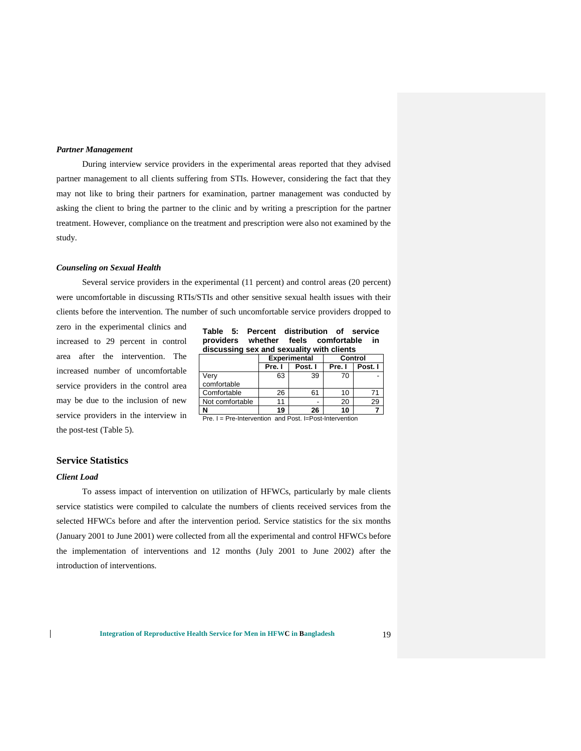#### *Partner Management*

During interview service providers in the experimental areas reported that they advised partner management to all clients suffering from STIs. However, considering the fact that they may not like to bring their partners for examination, partner management was conducted by asking the client to bring the partner to the clinic and by writing a prescription for the partner treatment. However, compliance on the treatment and prescription were also not examined by the study.

#### *Counseling on Sexual Health*

Several service providers in the experimental (11 percent) and control areas (20 percent) were uncomfortable in discussing RTIs/STIs and other sensitive sexual health issues with their clients before the intervention. The number of such uncomfortable service providers dropped to

zero in the experimental clinics and increased to 29 percent in control area after the intervention. The increased number of uncomfortable service providers in the control area may be due to the inclusion of new service providers in the interview in the post-test (Table 5).

|  | Table 5: Percent distribution of service  |  |  |  |
|--|-------------------------------------------|--|--|--|
|  | providers whether feels comfortable in    |  |  |  |
|  | discussing sex and sexuality with clients |  |  |  |

|                 |        | <b>Experimental</b> | Control |         |  |
|-----------------|--------|---------------------|---------|---------|--|
|                 | Pre. I | Post. I             | Pre. I  | Post. I |  |
| Verv            | 63     | 39                  |         |         |  |
| comfortable     |        |                     |         |         |  |
| Comfortable     | 26     | 61                  |         |         |  |
| Not comfortable |        |                     | 20      |         |  |
|                 | 19     | 26                  |         |         |  |

Pre. I = Pre-Intervention and Post. I=Post-Intervention

### **Service Statistics**

#### *Client Load*

 $\mathbf{I}$ 

To assess impact of intervention on utilization of HFWCs, particularly by male clients service statistics were compiled to calculate the numbers of clients received services from the selected HFWCs before and after the intervention period. Service statistics for the six months (January 2001 to June 2001) were collected from all the experimental and control HFWCs before the implementation of interventions and 12 months (July 2001 to June 2002) after the introduction of interventions.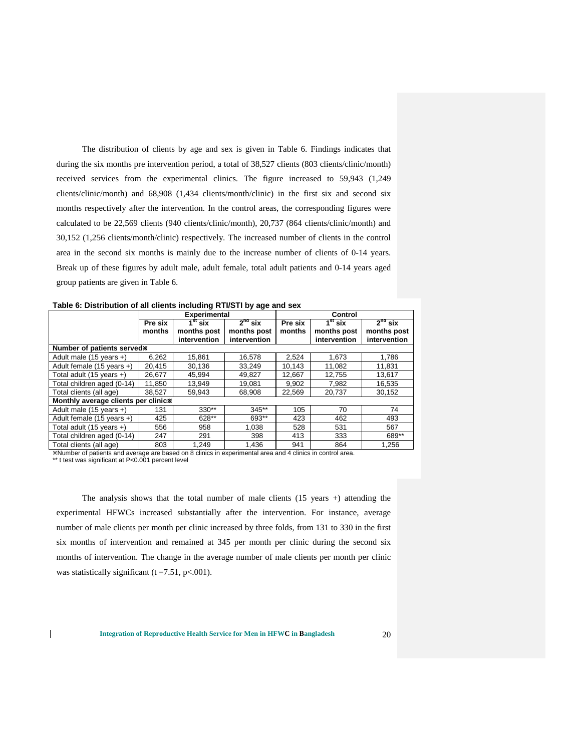The distribution of clients by age and sex is given in Table 6. Findings indicates that during the six months pre intervention period, a total of 38,527 clients (803 clients/clinic/month) received services from the experimental clinics. The figure increased to 59,943 (1,249 clients/clinic/month) and 68,908 (1,434 clients/month/clinic) in the first six and second six months respectively after the intervention. In the control areas, the corresponding figures were calculated to be 22,569 clients (940 clients/clinic/month), 20,737 (864 clients/clinic/month) and 30,152 (1,256 clients/month/clinic) respectively. The increased number of clients in the control area in the second six months is mainly due to the increase number of clients of 0-14 years. Break up of these figures by adult male, adult female, total adult patients and 0-14 years aged group patients are given in Table 6.

|                                     | <b>Experimental</b> |                         |              | Control |                         |              |
|-------------------------------------|---------------------|-------------------------|--------------|---------|-------------------------|--------------|
|                                     | Pre six             | $\overline{1^{st}}$ six | $2nd$ six    | Pre six | $\overline{1^{st}}$ six | $2nd$ six    |
|                                     | months              | months post             | months post  | months  | months post             | months post  |
|                                     |                     | intervention            | intervention |         | intervention            | intervention |
| Number of patients served*          |                     |                         |              |         |                         |              |
| Adult male (15 years +)             | 6,262               | 15,861                  | 16,578       | 2.524   | 1,673                   | 1,786        |
| Adult female (15 years +)           | 20,415              | 30,136                  | 33,249       | 10,143  | 11,082                  | 11,831       |
| Total adult (15 years +)            | 26.677              | 45.994                  | 49,827       | 12,667  | 12,755                  | 13,617       |
| Total children aged (0-14)          | 11.850              | 13.949                  | 19.081       | 9.902   | 7.982                   | 16,535       |
| Total clients (all age)             | 38,527              | 59,943                  | 68,908       | 22,569  | 20,737                  | 30,152       |
| Monthly average clients per clinic* |                     |                         |              |         |                         |              |
| Adult male (15 years +)             | 131                 | $330**$                 | $345**$      | 105     | 70                      | 74           |
| Adult female (15 years +)           | 425                 | 628**                   | 693**        | 423     | 462                     | 493          |
| Total adult (15 years +)            | 556                 | 958                     | 1.038        | 528     | 531                     | 567          |
| Total children aged (0-14)          | 247                 | 291                     | 398          | 413     | 333                     | 689**        |
| Total clients (all age)             | 803                 | 1.249                   | 1.436        | 941     | 864                     | 1.256        |

**Table 6: Distribution of all clients including RTI/STI by age and sex**

Number of patients and average are based on 8 clinics in experimental area and 4 clinics in control area.

\*\* t test was significant at P<0.001 percent level

 $\mathbf{I}$ 

The analysis shows that the total number of male clients  $(15 \text{ years } +)$  attending the experimental HFWCs increased substantially after the intervention. For instance, average number of male clients per month per clinic increased by three folds, from 131 to 330 in the first six months of intervention and remained at 345 per month per clinic during the second six months of intervention. The change in the average number of male clients per month per clinic was statistically significant  $(t = 7.51, p < .001)$ .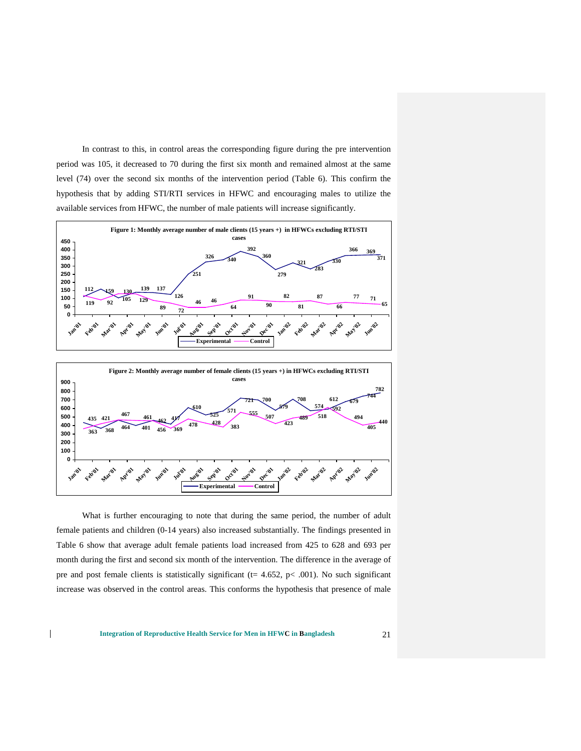In contrast to this, in control areas the corresponding figure during the pre intervention period was 105, it decreased to 70 during the first six month and remained almost at the same level (74) over the second six months of the intervention period (Table 6). This confirm the hypothesis that by adding STI/RTI services in HFWC and encouraging males to utilize the available services from HFWC, the number of male patients will increase significantly.





What is further encouraging to note that during the same period, the number of adult female patients and children (0-14 years) also increased substantially. The findings presented in Table 6 show that average adult female patients load increased from 425 to 628 and 693 per month during the first and second six month of the intervention. The difference in the average of pre and post female clients is statistically significant ( $t= 4.652$ ,  $p< .001$ ). No such significant increase was observed in the control areas. This conforms the hypothesis that presence of male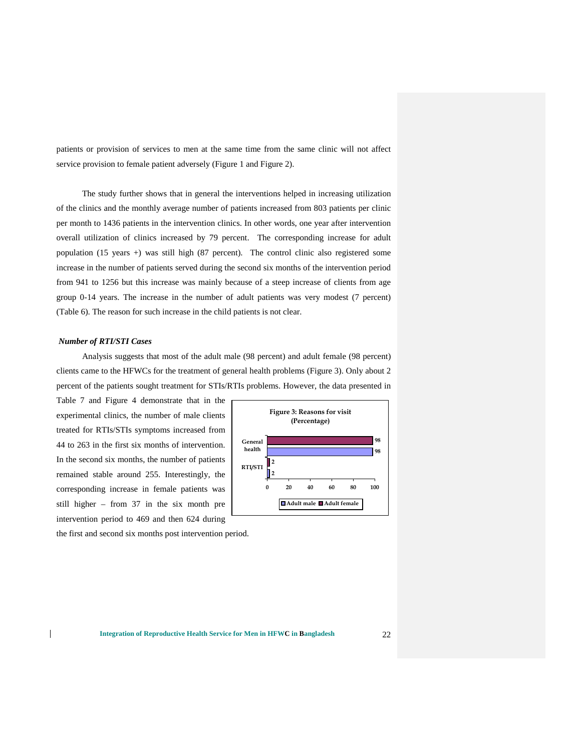patients or provision of services to men at the same time from the same clinic will not affect service provision to female patient adversely (Figure 1 and Figure 2).

The study further shows that in general the interventions helped in increasing utilization of the clinics and the monthly average number of patients increased from 803 patients per clinic per month to 1436 patients in the intervention clinics. In other words, one year after intervention overall utilization of clinics increased by 79 percent. The corresponding increase for adult population (15 years +) was still high (87 percent). The control clinic also registered some increase in the number of patients served during the second six months of the intervention period from 941 to 1256 but this increase was mainly because of a steep increase of clients from age group 0-14 years. The increase in the number of adult patients was very modest (7 percent) (Table 6). The reason for such increase in the child patients is not clear.

#### *Number of RTI/STI Cases*

 $\mathsf{l}$ 

Analysis suggests that most of the adult male (98 percent) and adult female (98 percent) clients came to the HFWCs for the treatment of general health problems (Figure 3). Only about 2 percent of the patients sought treatment for STIs/RTIs problems. However, the data presented in

Table 7 and Figure 4 demonstrate that in the experimental clinics, the number of male clients treated for RTIs/STIs symptoms increased from 44 to 263 in the first six months of intervention. In the second six months, the number of patients remained stable around 255. Interestingly, the corresponding increase in female patients was still higher – from 37 in the six month pre intervention period to 469 and then 624 during



the first and second six months post intervention period.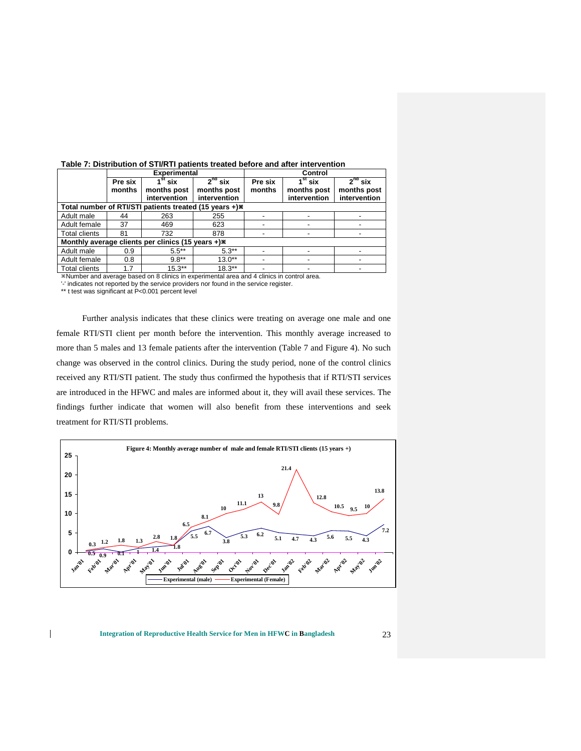|                      |         | <b>Experimental</b>                                     |                                                        |         | Control                        |              |
|----------------------|---------|---------------------------------------------------------|--------------------------------------------------------|---------|--------------------------------|--------------|
|                      | Pre six | $\overline{1}^{\rm st}$ six                             | $2nd$ six                                              | Pre six | $\overline{1^{\text{st}}}$ six | $2nd$ six    |
|                      | months  | months post                                             | months post                                            | months  | months post                    | months post  |
|                      |         | intervention                                            | intervention                                           |         | intervention                   | intervention |
|                      |         |                                                         | Total number of RTI/STI patients treated (15 years +)* |         |                                |              |
| Adult male           | 44      | 263                                                     | 255                                                    |         |                                |              |
| Adult female         | 37      | 469                                                     | 623                                                    |         |                                |              |
| <b>Total clients</b> | 81      | 732                                                     | 878                                                    |         |                                |              |
|                      |         | Monthly average clients per clinics (15 years $+$ ) $*$ |                                                        |         |                                |              |
| Adult male           | 0.9     | $5.5***$                                                | $5.3**$                                                |         |                                |              |
| Adult female         | 0.8     | $9.8**$                                                 | $13.0**$                                               |         |                                |              |
| <b>Total clients</b> | 1.7     | $15.3***$                                               | $18.3**$                                               |         |                                |              |

**Table 7: Distribution of STI/RTI patients treated before and after intervention**

Number and average based on 8 clinics in experimental area and 4 clinics in control area.

'-' indicates not reported by the service providers nor found in the service register.

\*\* t test was significant at P<0.001 percent level

 $\mathbf{I}$ 

Further analysis indicates that these clinics were treating on average one male and one female RTI/STI client per month before the intervention. This monthly average increased to more than 5 males and 13 female patients after the intervention (Table 7 and Figure 4). No such change was observed in the control clinics. During the study period, none of the control clinics received any RTI/STI patient. The study thus confirmed the hypothesis that if RTI/STI services are introduced in the HFWC and males are informed about it, they will avail these services. The findings further indicate that women will also benefit from these interventions and seek treatment for RTI/STI problems.



#### **Integration of Reproductive Health Service for Men in HFWC in Bangladesh** 23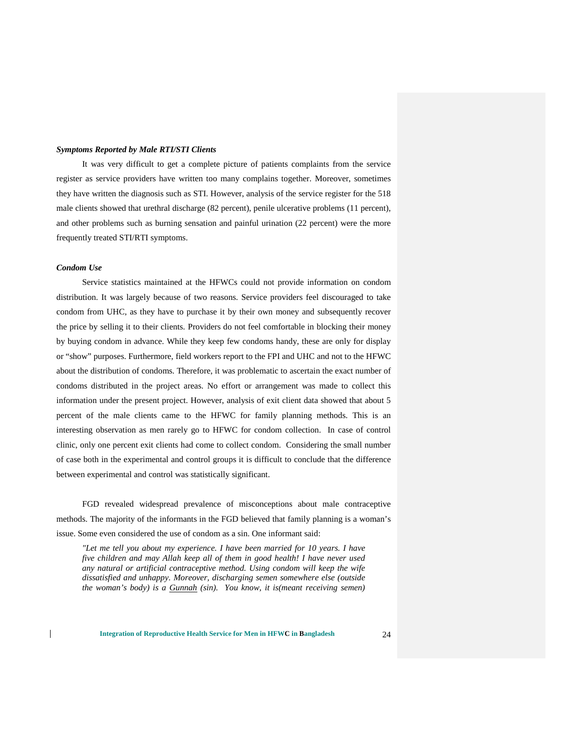#### *Symptoms Reported by Male RTI/STI Clients*

It was very difficult to get a complete picture of patients complaints from the service register as service providers have written too many complains together. Moreover, sometimes they have written the diagnosis such as STI. However, analysis of the service register for the 518 male clients showed that urethral discharge (82 percent), penile ulcerative problems (11 percent), and other problems such as burning sensation and painful urination (22 percent) were the more frequently treated STI/RTI symptoms.

#### *Condom Use*

 $\overline{1}$ 

Service statistics maintained at the HFWCs could not provide information on condom distribution. It was largely because of two reasons. Service providers feel discouraged to take condom from UHC, as they have to purchase it by their own money and subsequently recover the price by selling it to their clients. Providers do not feel comfortable in blocking their money by buying condom in advance. While they keep few condoms handy, these are only for display or "show" purposes. Furthermore, field workers report to the FPI and UHC and not to the HFWC about the distribution of condoms. Therefore, it was problematic to ascertain the exact number of condoms distributed in the project areas. No effort or arrangement was made to collect this information under the present project. However, analysis of exit client data showed that about 5 percent of the male clients came to the HFWC for family planning methods. This is an interesting observation as men rarely go to HFWC for condom collection. In case of control clinic, only one percent exit clients had come to collect condom. Considering the small number of case both in the experimental and control groups it is difficult to conclude that the difference between experimental and control was statistically significant.

FGD revealed widespread prevalence of misconceptions about male contraceptive methods. The majority of the informants in the FGD believed that family planning is a woman's issue. Some even considered the use of condom as a sin. One informant said:

*"Let me tell you about my experience. I have been married for 10 years. I have five children and may Allah keep all of them in good health! I have never used any natural or artificial contraceptive method. Using condom will keep the wife dissatisfied and unhappy. Moreover, discharging semen somewhere else (outside the woman's body) is a Gunnah (sin). You know, it is(meant receiving semen)*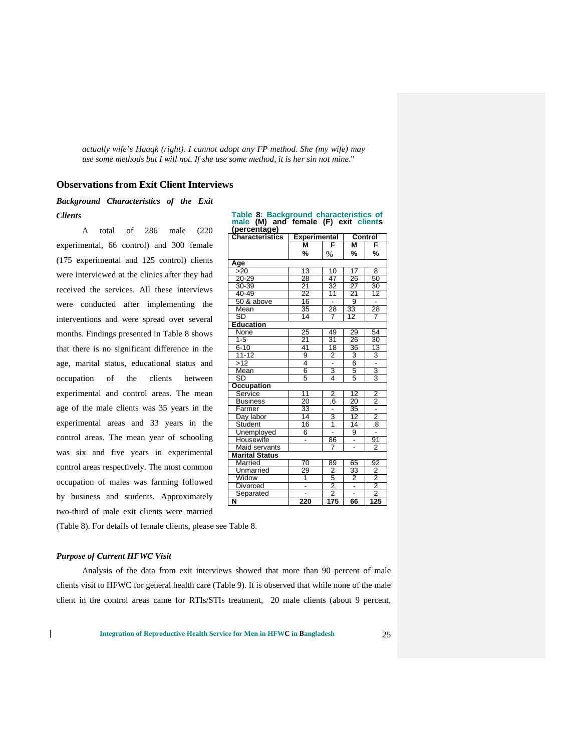*actually wife's Haaqk (right). I cannot adopt any FP method. She (my wife) may use some methods but I will not. If she use some method, it is her sin not mine*."

## **Observations from Exit Client Interviews**

## *Background Characteristics of the Exit Clients*

A total of 286 male (220 experimental, 66 control) and 300 female (175 experimental and 125 control) clients were interviewed at the clinics after they had received the services. All these interviews were conducted after implementing the interventions and were spread over several months. Findings presented in Table 8 shows that there is no significant difference in the age, marital status, educational status and occupation of the clients between experimental and control areas. The mean age of the male clients was 35 years in the experimental areas and 33 years in the control areas. The mean year of schooling was six and five years in experimental control areas respectively. The most common occupation of males was farming followed by business and students. Approximately two-third of male exit clients were married

| (poroomago <i>)</i><br><b>Characteristics</b> | <b>Experimental</b>      |                                      |                 | <b>Control</b>                         |
|-----------------------------------------------|--------------------------|--------------------------------------|-----------------|----------------------------------------|
|                                               | М                        | F                                    | M               | F                                      |
|                                               | %                        | $\%$                                 | %               | %                                      |
| Age                                           |                          |                                      |                 |                                        |
| >20                                           | 13                       | 10                                   | 17              | 8                                      |
| $20 - 29$                                     | 28                       | 47                                   | 26              | 50                                     |
| 30-39                                         | $\overline{21}$          | 32<br>11                             | $\frac{27}{21}$ | 30                                     |
| 40-49                                         | 22                       |                                      |                 | 12                                     |
| 50 & above                                    | $\overline{16}$          | Ξ                                    | 9               | Ξ                                      |
| Mean                                          | 35                       | 28                                   | $\overline{33}$ | 28                                     |
| SD                                            | 14                       | 7                                    | 12              | 7                                      |
| <b>Education</b>                              |                          |                                      |                 |                                        |
| None                                          | 25                       | 49                                   | 29              | 54                                     |
| $1 - 5$                                       | 21                       | 31                                   | 26              | 30                                     |
| $6 - 10$                                      | 41                       | $\overline{18}$                      | 36              | $\overline{13}$                        |
| $11 - 12$                                     | 9                        | $\overline{\mathbf{2}}$              |                 | 3                                      |
| >12                                           | 4                        | Ţ                                    |                 |                                        |
| Mean                                          | 6                        | $\frac{3}{4}$                        | $\frac{3}{5}$   | $\frac{1}{3}$                          |
| SD                                            | 5                        |                                      |                 |                                        |
| <b>Occupation</b>                             |                          |                                      |                 |                                        |
| Service                                       | 11                       | $\overline{2}$                       | $\overline{12}$ | 2                                      |
| <b>Business</b>                               | $\overline{20}$          | .6                                   | 20              | $\frac{2}{1}$                          |
| Farmer                                        | 33                       | $\overline{a}$                       | 35              |                                        |
| Day labor                                     | 14                       | 3                                    | 12              |                                        |
| Student                                       | 16                       | 1                                    | $\overline{14}$ | $\frac{2}{8}$                          |
| Unemployed                                    | 6                        | Ξ                                    | 9               | Ξ                                      |
| Housewife                                     |                          | 86                                   | Ξ               | $\frac{91}{2}$                         |
| Maid servants                                 |                          | 7                                    |                 |                                        |
| <b>Marital Status</b>                         |                          |                                      |                 |                                        |
| Married                                       | 70                       | 89                                   | 65              | 92                                     |
| Unmarried                                     | 29                       |                                      | 33              |                                        |
| Widow                                         | 1                        |                                      | $\overline{2}$  |                                        |
| <b>Divorced</b>                               | $\overline{a}$           |                                      | $\overline{a}$  |                                        |
| Separated                                     | $\overline{\phantom{a}}$ | $\frac{\frac{36}{2}}{\frac{2}{175}}$ | $\overline{a}$  | $\frac{32}{2}$<br>$\frac{2}{2}$<br>125 |
| N                                             | 220                      |                                      | 66              |                                        |

Table 8: Background characteristics of **Table 8: Background characteristics of male (M) and female (F) exit clients (percentage)**

(Table 8). For details of female clients, please see Table 8.

#### *Purpose of Current HFWC Visit*

 $\mathsf{l}$ 

Analysis of the data from exit interviews showed that more than 90 percent of male clients visit to HFWC for general health care (Table 9). It is observed that while none of the male client in the control areas came for RTIs/STIs treatment, 20 male clients (about 9 percent,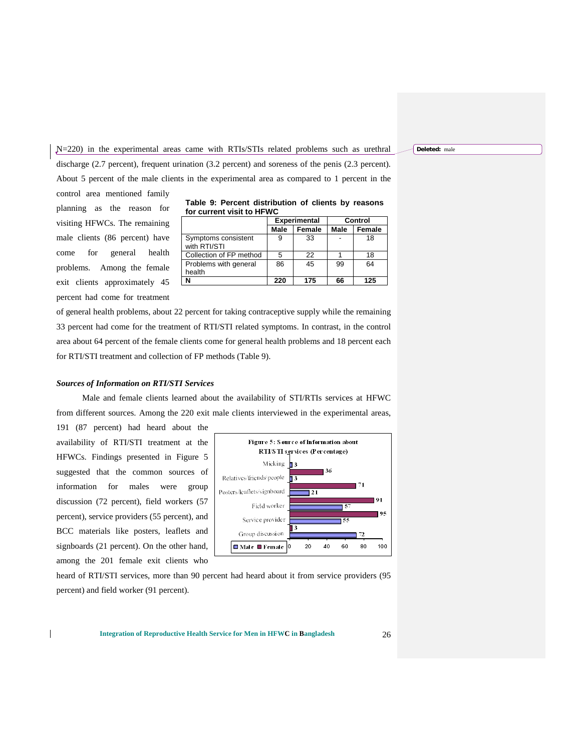N=220) in the experimental areas came with RTIs/STIs related problems such as urethral discharge (2.7 percent), frequent urination (3.2 percent) and soreness of the penis (2.3 percent). About 5 percent of the male clients in the experimental area as compared to 1 percent in the

control area mentioned family planning as the reason for visiting HFWCs. The remaining male clients (86 percent) have come for general health problems. Among the female exit clients approximately 45 percent had come for treatment

|                           | Table 9: Percent distribution of clients by reasons |  |  |
|---------------------------|-----------------------------------------------------|--|--|
| for current visit to HFWC |                                                     |  |  |

|                                     |             | <b>Experimental</b> | Control |        |  |
|-------------------------------------|-------------|---------------------|---------|--------|--|
|                                     | <b>Male</b> | Female              | Male    | Female |  |
| Symptoms consistent<br>with RTI/STI | 9           | 33                  |         | 18     |  |
| Collection of FP method             | 5           | 22                  |         | 18     |  |
| Problems with general<br>health     | 86          | 45                  | 99      | 64     |  |
| N                                   | 220         | 175                 | 66      | 125    |  |

of general health problems, about 22 percent for taking contraceptive supply while the remaining 33 percent had come for the treatment of RTI/STI related symptoms. In contrast, in the control area about 64 percent of the female clients come for general health problems and 18 percent each for RTI/STI treatment and collection of FP methods (Table 9).

#### *Sources of Information on RTI/STI Services*

Male and female clients learned about the availability of STI/RTIs services at HFWC from different sources. Among the 220 exit male clients interviewed in the experimental areas,

191 (87 percent) had heard about the availability of RTI/STI treatment at the HFWCs. Findings presented in Figure 5 suggested that the common sources of information for males were group discussion (72 percent), field workers (57 percent), service providers (55 percent), and BCC materials like posters, leaflets and signboards (21 percent). On the other hand, among the 201 female exit clients who



heard of RTI/STI services, more than 90 percent had heard about it from service providers (95 percent) and field worker (91 percent).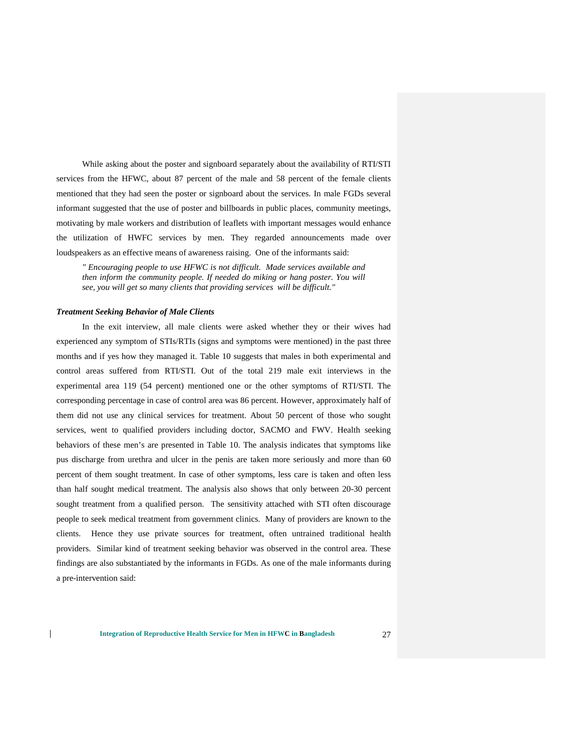While asking about the poster and signboard separately about the availability of RTI/STI services from the HFWC, about 87 percent of the male and 58 percent of the female clients mentioned that they had seen the poster or signboard about the services. In male FGDs several informant suggested that the use of poster and billboards in public places, community meetings, motivating by male workers and distribution of leaflets with important messages would enhance the utilization of HWFC services by men. They regarded announcements made over loudspeakers as an effective means of awareness raising. One of the informants said:

*" Encouraging people to use HFWC is not difficult. Made services available and then inform the community people. If needed do miking or hang poster. You will see, you will get so many clients that providing services will be difficult."*

#### *Treatment Seeking Behavior of Male Clients*

 $\overline{1}$ 

In the exit interview, all male clients were asked whether they or their wives had experienced any symptom of STIs/RTIs (signs and symptoms were mentioned) in the past three months and if yes how they managed it. Table 10 suggests that males in both experimental and control areas suffered from RTI/STI. Out of the total 219 male exit interviews in the experimental area 119 (54 percent) mentioned one or the other symptoms of RTI/STI. The corresponding percentage in case of control area was 86 percent. However, approximately half of them did not use any clinical services for treatment. About 50 percent of those who sought services, went to qualified providers including doctor, SACMO and FWV. Health seeking behaviors of these men's are presented in Table 10. The analysis indicates that symptoms like pus discharge from urethra and ulcer in the penis are taken more seriously and more than 60 percent of them sought treatment. In case of other symptoms, less care is taken and often less than half sought medical treatment. The analysis also shows that only between 20-30 percent sought treatment from a qualified person. The sensitivity attached with STI often discourage people to seek medical treatment from government clinics. Many of providers are known to the clients. Hence they use private sources for treatment, often untrained traditional health providers. Similar kind of treatment seeking behavior was observed in the control area. These findings are also substantiated by the informants in FGDs. As one of the male informants during a pre-intervention said: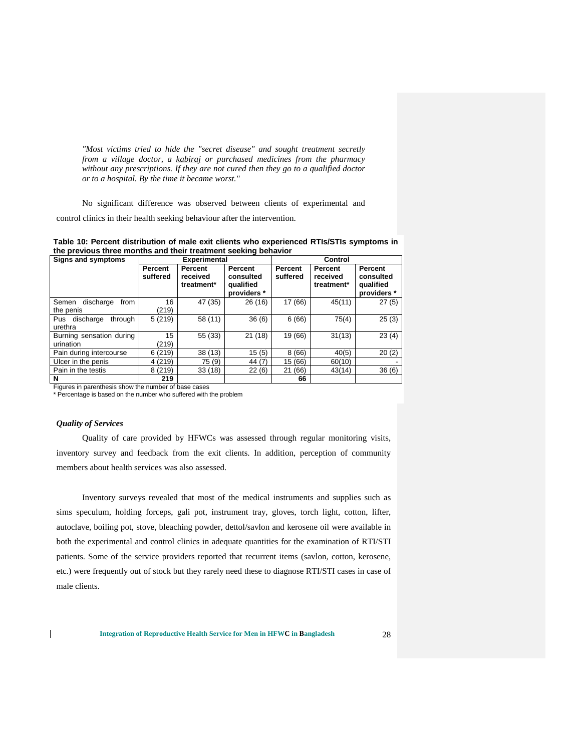*"Most victims tried to hide the "secret disease" and sought treatment secretly from a village doctor, a kabiraj or purchased medicines from the pharmacy without any prescriptions. If they are not cured then they go to a qualified doctor or to a hospital. By the time it became worst."* 

No significant difference was observed between clients of experimental and control clinics in their health seeking behaviour after the intervention.

| Table 10: Percent distribution of male exit clients who experienced RTIs/STIs symptoms in |  |
|-------------------------------------------------------------------------------------------|--|
| the previous three months and their treatment seeking behavior                            |  |

| <b>Signs and symptoms</b>               |                     | <b>Experimental</b>                      |                                                  | Control             |                                   |                                                  |
|-----------------------------------------|---------------------|------------------------------------------|--------------------------------------------------|---------------------|-----------------------------------|--------------------------------------------------|
|                                         | Percent<br>suffered | <b>Percent</b><br>received<br>treatment* | Percent<br>consulted<br>qualified<br>providers * | Percent<br>suffered | Percent<br>received<br>treatment* | Percent<br>consulted<br>qualified<br>providers * |
| discharge<br>Semen<br>from<br>the penis | 16<br>(219)         | 47 (35)                                  | 26 (16)                                          | 17 (66)             | 45(11)                            | 27(5)                                            |
| Pus<br>discharge<br>through<br>urethra  | 5(219)              | 58 (11)                                  | 36(6)                                            | 6(66)               | 75(4)                             | 25(3)                                            |
| Burning sensation during<br>urination   | 15<br>(219)         | 55 (33)                                  | 21(18)                                           | 19 (66)             | 31(13)                            | 23(4)                                            |
| Pain during intercourse                 | 6(219)              | 38(13)                                   | 15(5)                                            | 8(66)               | 40(5)                             | 20(2)                                            |
| Ulcer in the penis                      | 4(219)              | 75 (9)                                   | 44 (7)                                           | 15 (66)             | 60(10)                            |                                                  |
| Pain in the testis                      | 8(219)              | 33(18)                                   | 22(6)                                            | 21 (66)             | 43(14)                            | 36(6)                                            |
| N                                       | 219                 |                                          |                                                  | 66                  |                                   |                                                  |

Figures in parenthesis show the number of base cases

\* Percentage is based on the number who suffered with the problem

#### *Quality of Services*

 $\mathbf{I}$ 

Quality of care provided by HFWCs was assessed through regular monitoring visits, inventory survey and feedback from the exit clients. In addition, perception of community members about health services was also assessed.

Inventory surveys revealed that most of the medical instruments and supplies such as sims speculum, holding forceps, gali pot, instrument tray, gloves, torch light, cotton, lifter, autoclave, boiling pot, stove, bleaching powder, dettol/savlon and kerosene oil were available in both the experimental and control clinics in adequate quantities for the examination of RTI/STI patients. Some of the service providers reported that recurrent items (savlon, cotton, kerosene, etc.) were frequently out of stock but they rarely need these to diagnose RTI/STI cases in case of male clients.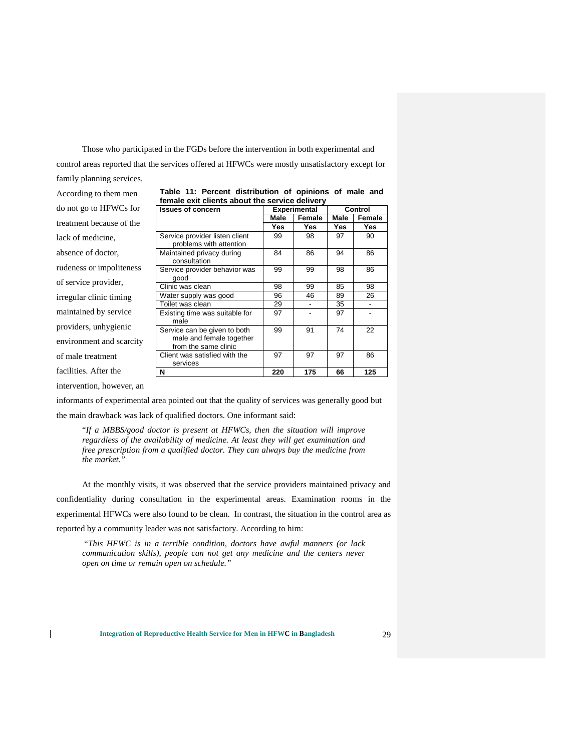Those who participated in the FGDs before the intervention in both experimental and control areas reported that the services offered at HFWCs were mostly unsatisfactory except for family planning services.

|                          | Terriale exil chemis about the service delivery           |      |                     |      |         |
|--------------------------|-----------------------------------------------------------|------|---------------------|------|---------|
| do not go to HFWCs for   | <b>Issues of concern</b>                                  |      | <b>Experimental</b> |      | Control |
|                          |                                                           | Male | Female              | Male | Female  |
| treatment because of the |                                                           | Yes  | Yes                 | Yes  | Yes     |
| lack of medicine,        | Service provider listen client<br>problems with attention | 99   | 98                  | 97   | 90      |
| absence of doctor,       | Maintained privacy during<br>consultation                 | 84   | 86                  | 94   | 86      |
| rudeness or impoliteness | Service provider behavior was<br>good                     | 99   | 99                  | 98   | 86      |
| of service provider,     | Clinic was clean                                          | 98   | 99                  | 85   | 98      |
| irregular clinic timing  | Water supply was good                                     | 96   | 46                  | 89   | 26      |
|                          | Toilet was clean                                          | 29   |                     | 35   |         |
| maintained by service    | Existing time was suitable for<br>male                    | 97   |                     | 97   |         |
| providers, unhygienic    | Service can be given to both                              | 99   | 91                  | 74   | 22      |
| environment and scarcity | male and female together<br>from the same clinic          |      |                     |      |         |
| of male treatment        | Client was satisfied with the<br>services                 | 97   | 97                  | 97   | 86      |
| facilities. After the    | N                                                         | 220  | 175                 | 66   | 125     |
|                          |                                                           |      |                     |      |         |

|  | Table 11: Percent distribution of opinions of male and |  |  |  |
|--|--------------------------------------------------------|--|--|--|
|  | female exit clients about the service delivery         |  |  |  |

intervention, however, an

 $\overline{1}$ 

According to them men

informants of experimental area pointed out that the quality of services was generally good but the main drawback was lack of qualified doctors. One informant said:

"*If a MBBS/good doctor is present at HFWCs, then the situation will improve regardless of the availability of medicine. At least they will get examination and free prescription from a qualified doctor. They can always buy the medicine from the market."* 

At the monthly visits, it was observed that the service providers maintained privacy and confidentiality during consultation in the experimental areas. Examination rooms in the experimental HFWCs were also found to be clean. In contrast, the situation in the control area as reported by a community leader was not satisfactory. According to him:

"*This HFWC is in a terrible condition, doctors have awful manners (or lack communication skills), people can not get any medicine and the centers never open on time or remain open on schedule."*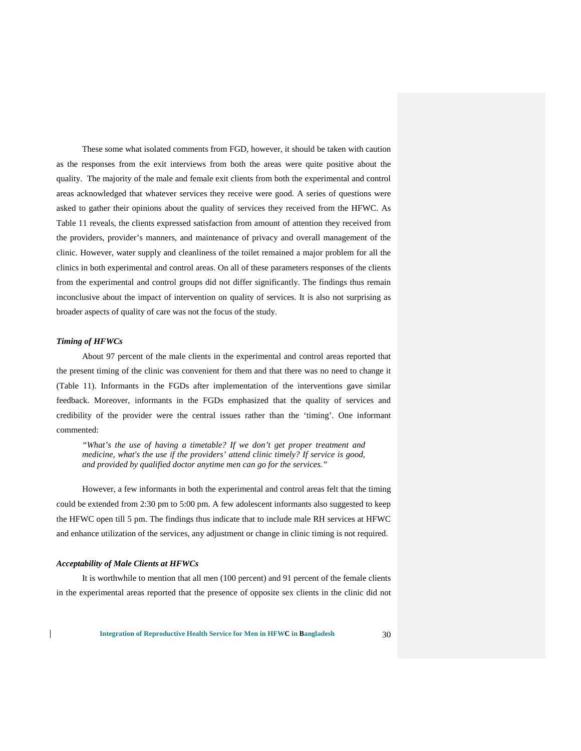These some what isolated comments from FGD, however, it should be taken with caution as the responses from the exit interviews from both the areas were quite positive about the quality. The majority of the male and female exit clients from both the experimental and control areas acknowledged that whatever services they receive were good. A series of questions were asked to gather their opinions about the quality of services they received from the HFWC. As Table 11 reveals, the clients expressed satisfaction from amount of attention they received from the providers, provider's manners, and maintenance of privacy and overall management of the clinic. However, water supply and cleanliness of the toilet remained a major problem for all the clinics in both experimental and control areas. On all of these parameters responses of the clients from the experimental and control groups did not differ significantly. The findings thus remain inconclusive about the impact of intervention on quality of services. It is also not surprising as broader aspects of quality of care was not the focus of the study.

#### *Timing of HFWCs*

About 97 percent of the male clients in the experimental and control areas reported that the present timing of the clinic was convenient for them and that there was no need to change it (Table 11). Informants in the FGDs after implementation of the interventions gave similar feedback. Moreover, informants in the FGDs emphasized that the quality of services and credibility of the provider were the central issues rather than the 'timing'. One informant commented:

*"What's the use of having a timetable? If we don't get proper treatment and medicine, what's the use if the providers' attend clinic timely? If service is good, and provided by qualified doctor anytime men can go for the services."*

However, a few informants in both the experimental and control areas felt that the timing could be extended from 2:30 pm to 5:00 pm. A few adolescent informants also suggested to keep the HFWC open till 5 pm. The findings thus indicate that to include male RH services at HFWC and enhance utilization of the services, any adjustment or change in clinic timing is not required.

#### *Acceptability of Male Clients at HFWCs*

 $\mathbf{I}$ 

It is worthwhile to mention that all men (100 percent) and 91 percent of the female clients in the experimental areas reported that the presence of opposite sex clients in the clinic did not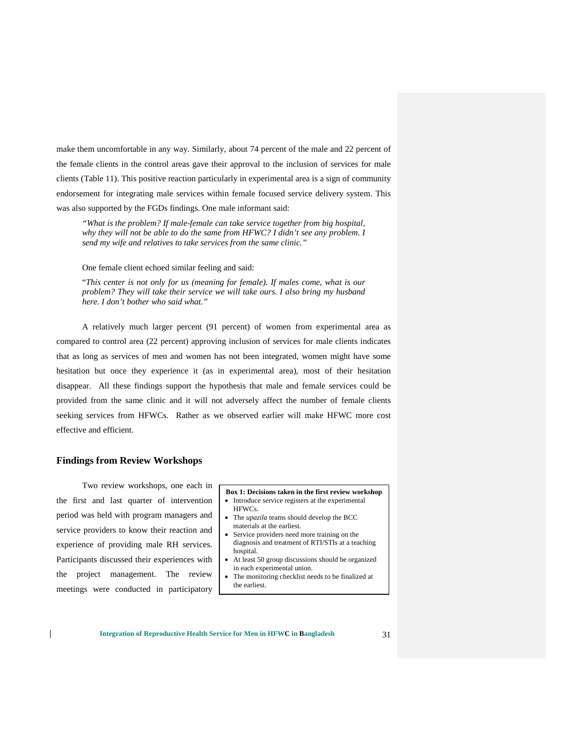make them uncomfortable in any way. Similarly, about 74 percent of the male and 22 percent of the female clients in the control areas gave their approval to the inclusion of services for male clients (Table 11). This positive reaction particularly in experimental area is a sign of community endorsement for integrating male services within female focused service delivery system. This was also supported by the FGDs findings. One male informant said:

*"What is the problem? If male-female can take service together from big hospital, why they will not be able to do the same from HFWC? I didn't see any problem. I send my wife and relatives to take services from the same clinic."*

One female client echoed similar feeling and said:

"*This center is not only for us (meaning for female). If males come, what is our problem? They will take their service we will take ours. I also bring my husband here. I don't bother who said what."*

A relatively much larger percent (91 percent) of women from experimental area as compared to control area (22 percent) approving inclusion of services for male clients indicates that as long as services of men and women has not been integrated, women might have some hesitation but once they experience it (as in experimental area), most of their hesitation disappear. All these findings support the hypothesis that male and female services could be provided from the same clinic and it will not adversely affect the number of female clients seeking services from HFWCs. Rather as we observed earlier will make HFWC more cost effective and efficient.

#### **Findings from Review Workshops**

Two review workshops, one each in the first and last quarter of intervention period was held with program managers and service providers to know their reaction and experience of providing male RH services. Participants discussed their experiences with the project management. The review meetings were conducted in participatory

 $\mathsf{l}$ 

#### **Box 1: Decisions taken in the first review workshop**

- Introduce service registers at the experimental HFWCs.
- The *upazila* teams should develop the BCC materials at the earliest.
- Service providers need more training on the diagnosis and treatment of RTI/STIs at a teaching hospital.
- At least 50 group discussions should be organized in each experimental union.
- The monitoring checklist needs to be finalized at the earliest.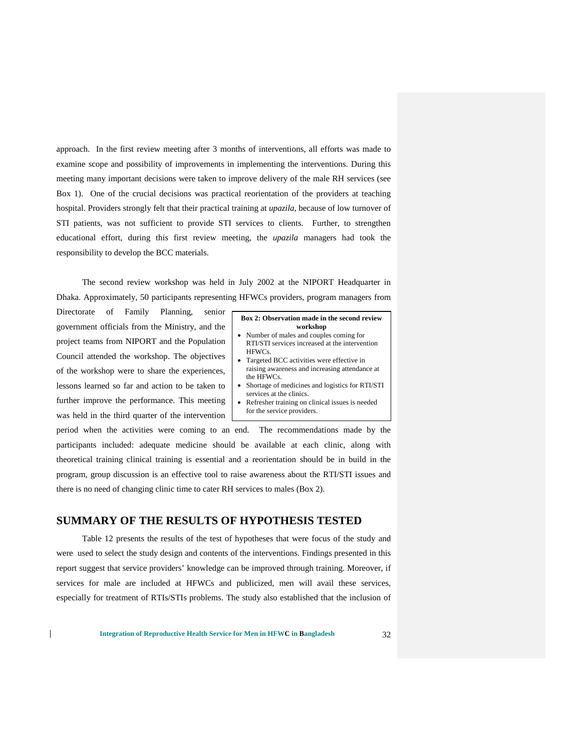approach. In the first review meeting after 3 months of interventions, all efforts was made to examine scope and possibility of improvements in implementing the interventions. During this meeting many important decisions were taken to improve delivery of the male RH services (see Box 1). One of the crucial decisions was practical reorientation of the providers at teaching hospital. Providers strongly felt that their practical training at *upazila*, because of low turnover of STI patients, was not sufficient to provide STI services to clients. Further, to strengthen educational effort, during this first review meeting, the *upazila* managers had took the responsibility to develop the BCC materials.

The second review workshop was held in July 2002 at the NIPORT Headquarter in Dhaka. Approximately, 50 participants representing HFWCs providers, program managers from

Directorate of Family Planning, senior government officials from the Ministry, and the project teams from NIPORT and the Population Council attended the workshop. The objectives of the workshop were to share the experiences, lessons learned so far and action to be taken to further improve the performance. This meeting was held in the third quarter of the intervention

 $\mathsf{l}$ 

#### **Box 2: Observation made in the second review workshop**

- Number of males and couples coming for RTI/STI services increased at the intervention HFWCs.
- Targeted BCC activities were effective in raising awareness and increasing attendance at the HFWCs.
- Shortage of medicines and logistics for RTI/STI services at the clinics.
- Refresher training on clinical issues is needed for the service providers.

period when the activities were coming to an end. The recommendations made by the participants included: adequate medicine should be available at each clinic, along with theoretical training clinical training is essential and a reorientation should be in build in the program, group discussion is an effective tool to raise awareness about the RTI/STI issues and there is no need of changing clinic time to cater RH services to males (Box 2).

### **SUMMARY OF THE RESULTS OF HYPOTHESIS TESTED**

Table 12 presents the results of the test of hypotheses that were focus of the study and were used to select the study design and contents of the interventions. Findings presented in this report suggest that service providers' knowledge can be improved through training. Moreover, if services for male are included at HFWCs and publicized, men will avail these services, especially for treatment of RTIs/STIs problems. The study also established that the inclusion of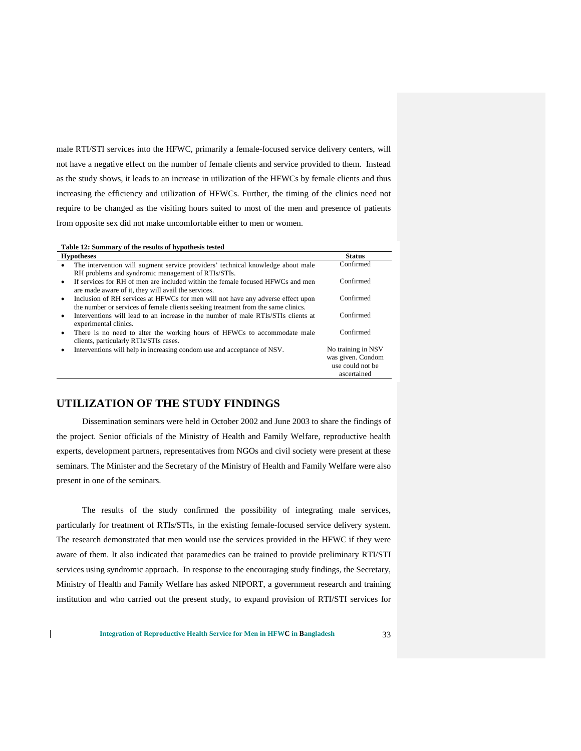male RTI/STI services into the HFWC, primarily a female-focused service delivery centers, will not have a negative effect on the number of female clients and service provided to them. Instead as the study shows, it leads to an increase in utilization of the HFWCs by female clients and thus increasing the efficiency and utilization of HFWCs. Further, the timing of the clinics need not require to be changed as the visiting hours suited to most of the men and presence of patients from opposite sex did not make uncomfortable either to men or women.

## **Table 12: Summary of the results of hypothesis tested**

| <b>Hypotheses</b>                                                                                                                                                                 | <b>Status</b>                                               |
|-----------------------------------------------------------------------------------------------------------------------------------------------------------------------------------|-------------------------------------------------------------|
| The intervention will augment service providers' technical knowledge about male<br>$\bullet$                                                                                      | Confirmed                                                   |
| RH problems and syndromic management of RTIs/STIs.                                                                                                                                |                                                             |
| If services for RH of men are included within the female focused HFWCs and men<br>$\bullet$<br>are made aware of it, they will avail the services.                                | Confirmed                                                   |
| Inclusion of RH services at HFWCs for men will not have any adverse effect upon<br>$\bullet$<br>the number or services of female clients seeking treatment from the same clinics. | Confirmed                                                   |
| Interventions will lead to an increase in the number of male RTIs/STIs clients at<br>$\bullet$<br>experimental clinics.                                                           | Confirmed                                                   |
| There is no need to alter the working hours of HFWCs to accommodate male<br>$\bullet$<br>clients, particularly RTIs/STIs cases.                                                   | Confirmed                                                   |
| Interventions will help in increasing condom use and acceptance of NSV.<br>$\bullet$                                                                                              | No training in NSV<br>was given. Condom<br>use could not be |
|                                                                                                                                                                                   | ascertained                                                 |

## **UTILIZATION OF THE STUDY FINDINGS**

 $\mathsf{l}$ 

Dissemination seminars were held in October 2002 and June 2003 to share the findings of the project. Senior officials of the Ministry of Health and Family Welfare, reproductive health experts, development partners, representatives from NGOs and civil society were present at these seminars. The Minister and the Secretary of the Ministry of Health and Family Welfare were also present in one of the seminars.

The results of the study confirmed the possibility of integrating male services, particularly for treatment of RTIs/STIs, in the existing female-focused service delivery system. The research demonstrated that men would use the services provided in the HFWC if they were aware of them. It also indicated that paramedics can be trained to provide preliminary RTI/STI services using syndromic approach. In response to the encouraging study findings, the Secretary, Ministry of Health and Family Welfare has asked NIPORT, a government research and training institution and who carried out the present study, to expand provision of RTI/STI services for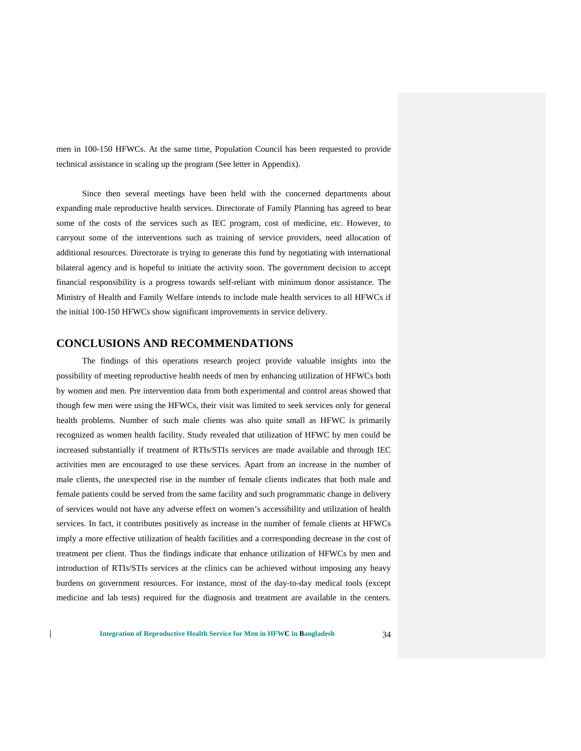men in 100-150 HFWCs. At the same time, Population Council has been requested to provide technical assistance in scaling up the program (See letter in Appendix).

Since then several meetings have been held with the concerned departments about expanding male reproductive health services. Directorate of Family Planning has agreed to bear some of the costs of the services such as IEC program, cost of medicine, etc. However, to carryout some of the interventions such as training of service providers, need allocation of additional resources. Directorate is trying to generate this fund by negotiating with international bilateral agency and is hopeful to initiate the activity soon. The government decision to accept financial responsibility is a progress towards self-reliant with minimum donor assistance. The Ministry of Health and Family Welfare intends to include male health services to all HFWCs if the initial 100-150 HFWCs show significant improvements in service delivery.

## **CONCLUSIONS AND RECOMMENDATIONS**

The findings of this operations research project provide valuable insights into the possibility of meeting reproductive health needs of men by enhancing utilization of HFWCs both by women and men. Pre intervention data from both experimental and control areas showed that though few men were using the HFWCs, their visit was limited to seek services only for general health problems. Number of such male clients was also quite small as HFWC is primarily recognized as women health facility. Study revealed that utilization of HFWC by men could be increased substantially if treatment of RTIs/STIs services are made available and through IEC activities men are encouraged to use these services. Apart from an increase in the number of male clients, the unexpected rise in the number of female clients indicates that both male and female patients could be served from the same facility and such programmatic change in delivery of services would not have any adverse effect on women's accessibility and utilization of health services. In fact, it contributes positively as increase in the number of female clients at HFWCs imply a more effective utilization of health facilities and a corresponding decrease in the cost of treatment per client. Thus the findings indicate that enhance utilization of HFWCs by men and introduction of RTIs/STIs services at the clinics can be achieved without imposing any heavy burdens on government resources. For instance, most of the day-to-day medical tools (except medicine and lab tests) required for the diagnosis and treatment are available in the centers.

**Integration of Reproductive Health Service for Men in HFWC in Bangladesh** 34

 $\mathsf{l}$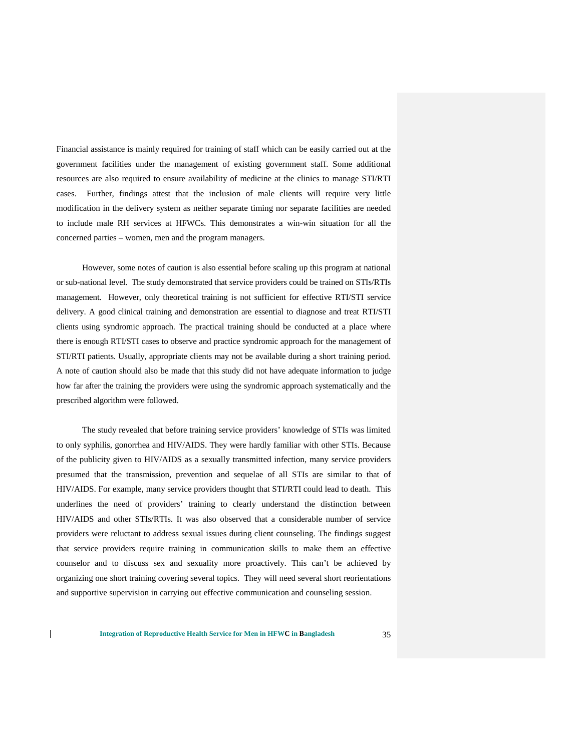Financial assistance is mainly required for training of staff which can be easily carried out at the government facilities under the management of existing government staff. Some additional resources are also required to ensure availability of medicine at the clinics to manage STI/RTI cases. Further, findings attest that the inclusion of male clients will require very little modification in the delivery system as neither separate timing nor separate facilities are needed to include male RH services at HFWCs. This demonstrates a win-win situation for all the concerned parties – women, men and the program managers.

However, some notes of caution is also essential before scaling up this program at national or sub-national level. The study demonstrated that service providers could be trained on STIs/RTIs management. However, only theoretical training is not sufficient for effective RTI/STI service delivery. A good clinical training and demonstration are essential to diagnose and treat RTI/STI clients using syndromic approach. The practical training should be conducted at a place where there is enough RTI/STI cases to observe and practice syndromic approach for the management of STI/RTI patients. Usually, appropriate clients may not be available during a short training period. A note of caution should also be made that this study did not have adequate information to judge how far after the training the providers were using the syndromic approach systematically and the prescribed algorithm were followed.

The study revealed that before training service providers' knowledge of STIs was limited to only syphilis, gonorrhea and HIV/AIDS. They were hardly familiar with other STIs. Because of the publicity given to HIV/AIDS as a sexually transmitted infection, many service providers presumed that the transmission, prevention and sequelae of all STIs are similar to that of HIV/AIDS. For example, many service providers thought that STI/RTI could lead to death. This underlines the need of providers' training to clearly understand the distinction between HIV/AIDS and other STIs/RTIs. It was also observed that a considerable number of service providers were reluctant to address sexual issues during client counseling. The findings suggest that service providers require training in communication skills to make them an effective counselor and to discuss sex and sexuality more proactively. This can't be achieved by organizing one short training covering several topics. They will need several short reorientations and supportive supervision in carrying out effective communication and counseling session.

 $\mathbf{I}$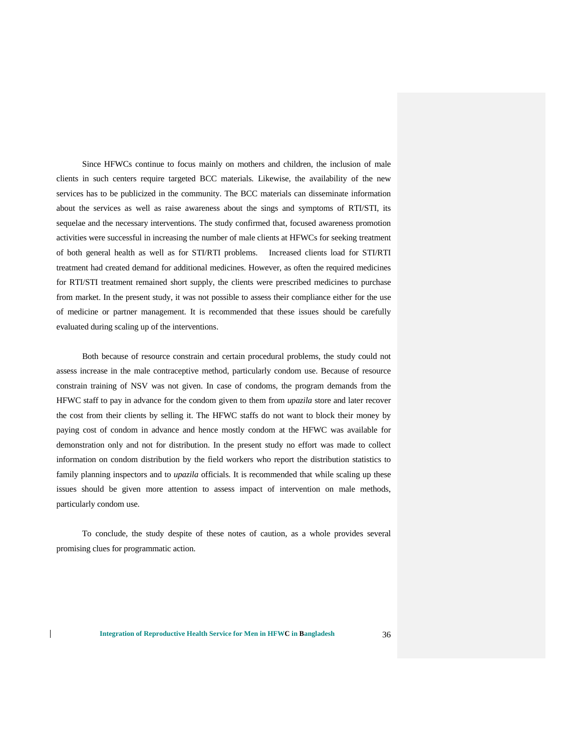Since HFWCs continue to focus mainly on mothers and children, the inclusion of male clients in such centers require targeted BCC materials. Likewise, the availability of the new services has to be publicized in the community. The BCC materials can disseminate information about the services as well as raise awareness about the sings and symptoms of RTI/STI, its sequelae and the necessary interventions. The study confirmed that, focused awareness promotion activities were successful in increasing the number of male clients at HFWCs for seeking treatment of both general health as well as for STI/RTI problems. Increased clients load for STI/RTI treatment had created demand for additional medicines. However, as often the required medicines for RTI/STI treatment remained short supply, the clients were prescribed medicines to purchase from market. In the present study, it was not possible to assess their compliance either for the use of medicine or partner management. It is recommended that these issues should be carefully evaluated during scaling up of the interventions.

Both because of resource constrain and certain procedural problems, the study could not assess increase in the male contraceptive method, particularly condom use. Because of resource constrain training of NSV was not given. In case of condoms, the program demands from the HFWC staff to pay in advance for the condom given to them from *upazila* store and later recover the cost from their clients by selling it. The HFWC staffs do not want to block their money by paying cost of condom in advance and hence mostly condom at the HFWC was available for demonstration only and not for distribution. In the present study no effort was made to collect information on condom distribution by the field workers who report the distribution statistics to family planning inspectors and to *upazila* officials. It is recommended that while scaling up these issues should be given more attention to assess impact of intervention on male methods, particularly condom use.

To conclude, the study despite of these notes of caution, as a whole provides several promising clues for programmatic action.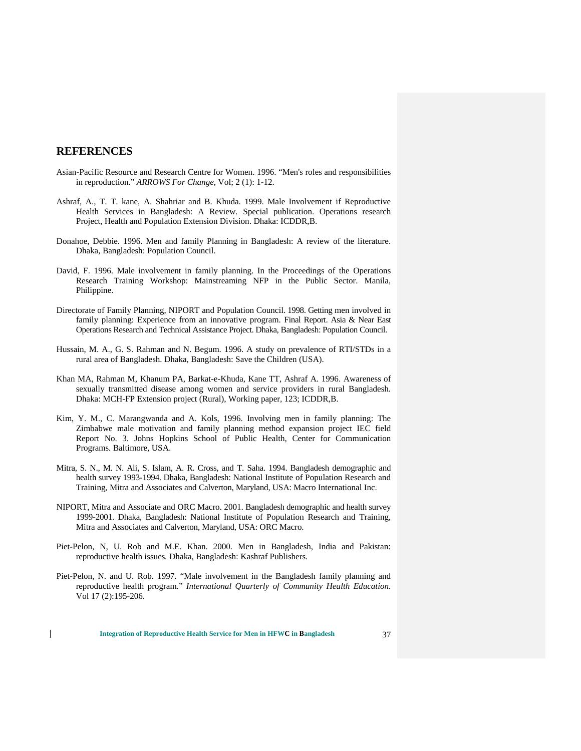## **REFERENCES**

- Asian-Pacific Resource and Research Centre for Women. 1996. "Men's roles and responsibilities in reproduction." *ARROWS For Change*, Vol; 2 (1): 1-12.
- Ashraf, A., T. T. kane, A. Shahriar and B. Khuda. 1999. Male Involvement if Reproductive Health Services in Bangladesh: A Review. Special publication. Operations research Project, Health and Population Extension Division. Dhaka: ICDDR,B.
- Donahoe, Debbie. 1996. Men and family Planning in Bangladesh: A review of the literature. Dhaka, Bangladesh: Population Council.
- David, F. 1996. Male involvement in family planning. In the Proceedings of the Operations Research Training Workshop: Mainstreaming NFP in the Public Sector. Manila, Philippine.
- Directorate of Family Planning, NIPORT and Population Council. 1998. Getting men involved in family planning: Experience from an innovative program. Final Report. Asia & Near East Operations Research and Technical Assistance Project. Dhaka, Bangladesh: Population Council.
- Hussain, M. A., G. S. Rahman and N. Begum. 1996. A study on prevalence of RTI/STDs in a rural area of Bangladesh. Dhaka, Bangladesh: Save the Children (USA).
- Khan MA, Rahman M, Khanum PA, Barkat-e-Khuda, Kane TT, Ashraf A. 1996. Awareness of sexually transmitted disease among women and service providers in rural Bangladesh. Dhaka: MCH-FP Extension project (Rural), Working paper, 123; ICDDR,B.
- Kim, Y. M., C. Marangwanda and A. Kols, 1996. Involving men in family planning: The Zimbabwe male motivation and family planning method expansion project IEC field Report No. 3. Johns Hopkins School of Public Health, Center for Communication Programs. Baltimore, USA.
- Mitra, S. N., M. N. Ali, S. Islam, A. R. Cross, and T. Saha. 1994. Bangladesh demographic and health survey 1993-1994. Dhaka, Bangladesh: National Institute of Population Research and Training, Mitra and Associates and Calverton, Maryland, USA: Macro International Inc.
- NIPORT, Mitra and Associate and ORC Macro. 2001. Bangladesh demographic and health survey 1999-2001. Dhaka, Bangladesh: National Institute of Population Research and Training, Mitra and Associates and Calverton, Maryland, USA: ORC Macro.
- Piet-Pelon, N, U. Rob and M.E. Khan. 2000. Men in Bangladesh, India and Pakistan: reproductive health issues*.* Dhaka, Bangladesh: Kashraf Publishers.
- Piet-Pelon, N. and U. Rob. 1997. "Male involvement in the Bangladesh family planning and reproductive health program." *International Quarterly of Community Health Education*. Vol 17 (2):195-206.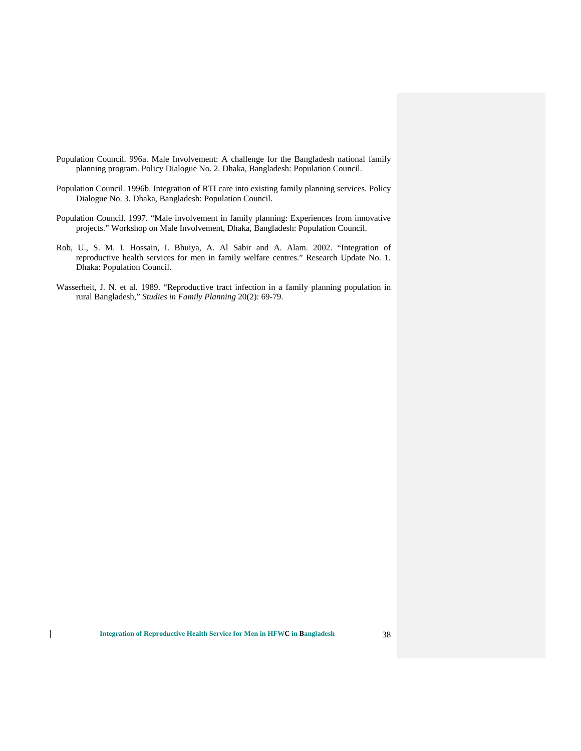- Population Council. 996a. Male Involvement: A challenge for the Bangladesh national family planning program. Policy Dialogue No. 2. Dhaka, Bangladesh: Population Council.
- Population Council. 1996b. Integration of RTI care into existing family planning services. Policy Dialogue No. 3. Dhaka, Bangladesh: Population Council.
- Population Council. 1997. "Male involvement in family planning: Experiences from innovative projects." Workshop on Male Involvement, Dhaka, Bangladesh: Population Council.
- Rob, U., S. M. I. Hossain, I. Bhuiya, A. Al Sabir and A. Alam. 2002. "Integration of reproductive health services for men in family welfare centres." Research Update No. 1. Dhaka: Population Council.
- Wasserheit, J. N. et al. 1989. "Reproductive tract infection in a family planning population in rural Bangladesh," *Studies in Family Planning* 20(2): 69-79.